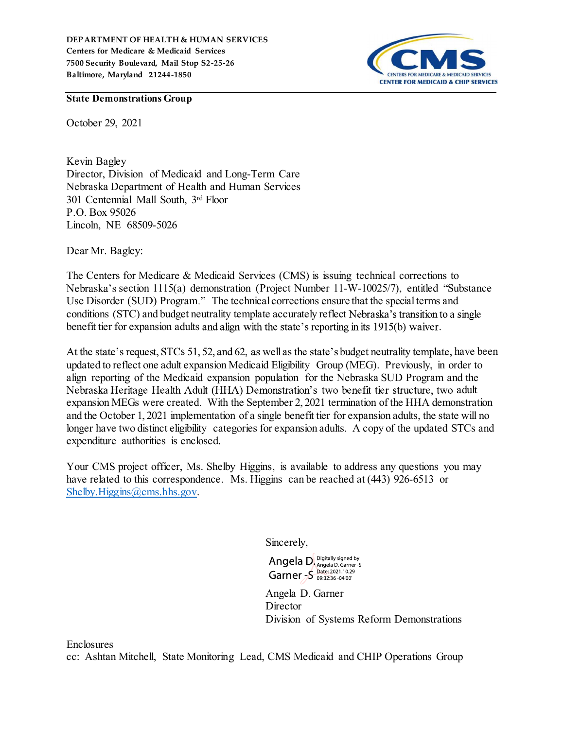

#### State Demonstrations Group

October 29, 2021

Kevin Bagley Director, Division of Medicaid and Long-Term Care Nebraska Department of Health and Human Services 301 Centennial Mall South, 3rd Floor P.O. Box 95026 Lincoln, NE 68509-5026

Dear Mr. Bagley:

The Centers for Medicare & Medicaid Services (CMS) is issuing technical corrections to Nebraska's section 1115(a) demonstration (Project Number 11-W-10025/7), entitled "Substance Use Disorder (SUD) Program." The technical corrections ensure that the special terms and conditions (STC) and budget neutrality template accurately reflect Nebraska's transition to a single benefit tier for expansion adults and align with the state's reporting in its  $1915(b)$  waiver.

At the state's request, STCs 51, 52, and 62, as well as the state's budget neutrality template, have been updated to reflect one adult expansion Medicaid Eligibility Group (MEG). Previously, in order to align reporting of the Medicaid expansion population for the Nebraska SUD Program and the Nebraska Heritage Health Adult (HHA) Demonstration's two benefit tier structure, two adult expansion MEGs were created. With the September 2, 2021 termination of the HHA demonstration and the October 1, 2021 implementation of a single benefit tier for expansion adults, the state will no longer have two distinct eligibility categories for expansion adults. A copy of the updated STCs and expenditure authorities is enclosed.

Your CMS project officer, Ms. Shelby Higgins, is available to address any questions you may have related to this correspondence. Ms. Higgins can be reached at (443) 926-6513 or Shelby.Higgins@cms.hhs.gov.

Sincerely,

Angela D. Digitally signed by Garner - S Date: 2021.10.29

Angela D. Garner Director Division of Systems Reform Demonstrations

Enclosures

cc: Ashtan Mitchell, State Monitoring Lead, CMS Medicaid and CHIP Operations Group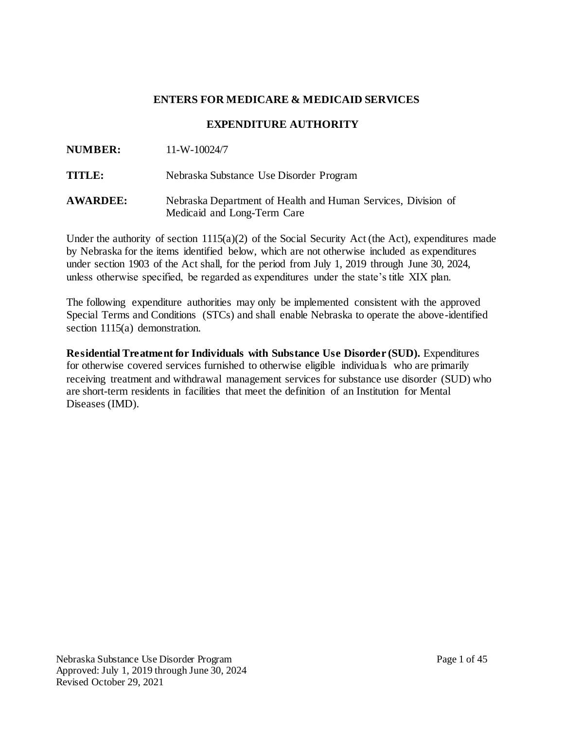## **ENTERS FOR MEDICARE & MEDICAID SERVICES**

## **EXPENDITURE AUTHORITY**

| <b>NUMBER:</b> | $11-W-10024/7$ |
|----------------|----------------|
|                |                |

**TITLE:** Nebraska Substance Use Disorder Program

**AWARDEE:** Nebraska Department of Health and Human Services, Division of Medicaid and Long-Term Care

Under the authority of section  $1115(a)(2)$  of the Social Security Act (the Act), expenditures made by Nebraska for the items identified below, which are not otherwise included as expenditures under section 1903 of the Act shall, for the period from July 1, 2019 through June 30, 2024, unless otherwise specified, be regarded as expenditures under the state's title XIX plan.

The following expenditure authorities may only be implemented consistent with the approved Special Terms and Conditions (STCs) and shall enable Nebraska to operate the above-identified section 1115(a) demonstration.

**Residential Treatment for Individuals with Substance Use Disorder (SUD).** Expenditures for otherwise covered services furnished to otherwise eligible individuals who are primarily receiving treatment and withdrawal management services for substance use disorder (SUD) who are short-term residents in facilities that meet the definition of an Institution for Mental Diseases (IMD).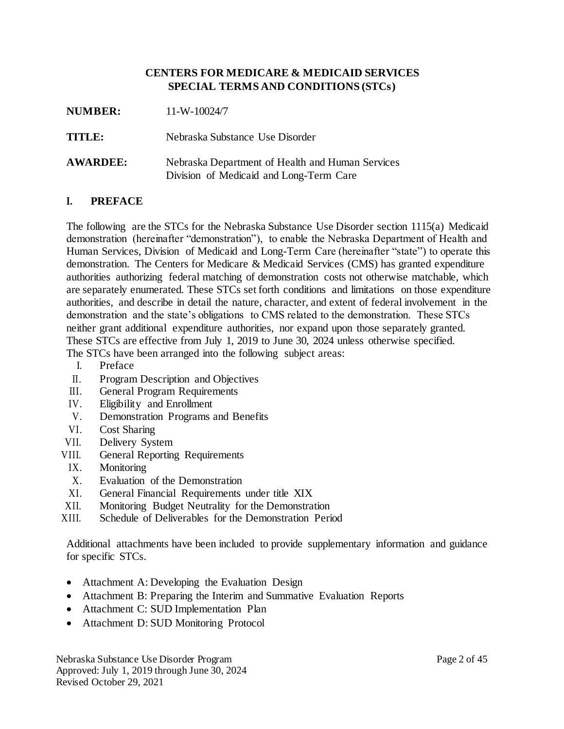### **CENTERS FOR MEDICARE & MEDICAID SERVICES SPECIAL TERMS AND CONDITIONS (STCs)**

| <b>NUMBER:</b>  | $11-W-10024/7$                                                                              |
|-----------------|---------------------------------------------------------------------------------------------|
| TITLE:          | Nebraska Substance Use Disorder                                                             |
| <b>AWARDEE:</b> | Nebraska Department of Health and Human Services<br>Division of Medicaid and Long-Term Care |

#### **I. PREFACE**

The following are the STCs for the Nebraska Substance Use Disorder section 1115(a) Medicaid demonstration (hereinafter "demonstration"), to enable the Nebraska Department of Health and Human Services, Division of Medicaid and Long-Term Care (hereinafter "state") to operate this demonstration. The Centers for Medicare & Medicaid Services (CMS) has granted expenditure authorities authorizing federal matching of demonstration costs not otherwise matchable, which are separately enumerated. These STCs set forth conditions and limitations on those expenditure authorities, and describe in detail the nature, character, and extent of federal involvement in the demonstration and the state's obligations to CMS related to the demonstration. These STCs neither grant additional expenditure authorities, nor expand upon those separately granted. These STCs are effective from July 1, 2019 to June 30, 2024 unless otherwise specified. The STCs have been arranged into the following subject areas:

- I. Preface
- II. Program Description and Objectives
- III. General Program Requirements
- IV. Eligibility and Enrollment
- V. Demonstration Programs and Benefits
- VI. Cost Sharing
- VII. Delivery System
- VIII. General Reporting Requirements
	- IX. Monitoring
	- X. Evaluation of the Demonstration
- XI. General Financial Requirements under title XIX
- XII. Monitoring Budget Neutrality for the Demonstration
- XIII. Schedule of Deliverables for the Demonstration Period

Additional attachments have been included to provide supplementary information and guidance for specific STCs.

- Attachment A: Developing the Evaluation Design
- Attachment B: Preparing the Interim and Summative Evaluation Reports
- Attachment C: SUD Implementation Plan
- Attachment D: SUD Monitoring Protocol

Nebraska Substance Use Disorder Program Page 2 of 45 Approved: July 1, 2019 through June 30, 2024 Revised October 29, 2021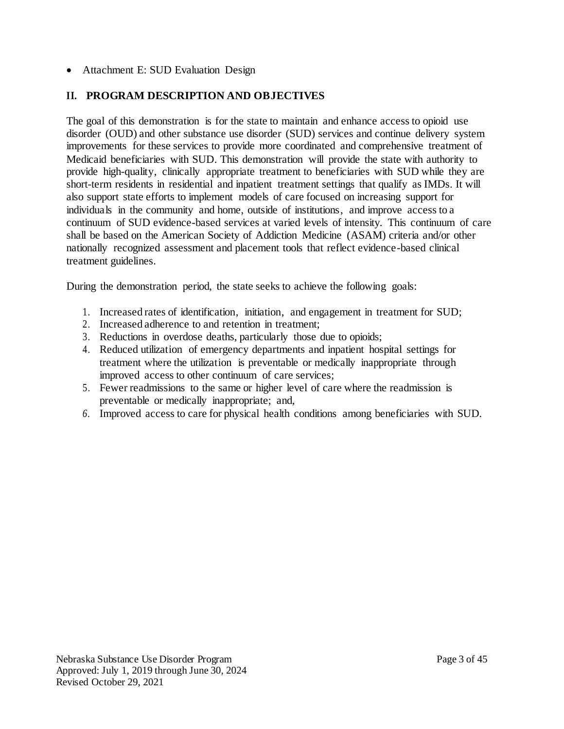## • Attachment E: SUD Evaluation Design

# **II. PROGRAM DESCRIPTION AND OBJECTIVES**

The goal of this demonstration is for the state to maintain and enhance access to opioid use disorder (OUD) and other substance use disorder (SUD) services and continue delivery system improvements for these services to provide more coordinated and comprehensive treatment of Medicaid beneficiaries with SUD. This demonstration will provide the state with authority to provide high-quality, clinically appropriate treatment to beneficiaries with SUD while they are short-term residents in residential and inpatient treatment settings that qualify as IMDs. It will also support state efforts to implement models of care focused on increasing support for individuals in the community and home, outside of institutions, and improve access to a continuum of SUD evidence-based services at varied levels of intensity. This continuum of care shall be based on the American Society of Addiction Medicine (ASAM) criteria and/or other nationally recognized assessment and placement tools that reflect evidence-based clinical treatment guidelines.

During the demonstration period, the state seeks to achieve the following goals:

- 1. Increased rates of identification, initiation, and engagement in treatment for SUD;
- 2. Increased adherence to and retention in treatment;
- 3. Reductions in overdose deaths, particularly those due to opioids;
- 4. Reduced utilization of emergency departments and inpatient hospital settings for treatment where the utilization is preventable or medically inappropriate through improved access to other continuum of care services;
- 5. Fewer readmissions to the same or higher level of care where the readmission is preventable or medically inappropriate; and,
- *6.* Improved access to care for physical health conditions among beneficiaries with SUD*.*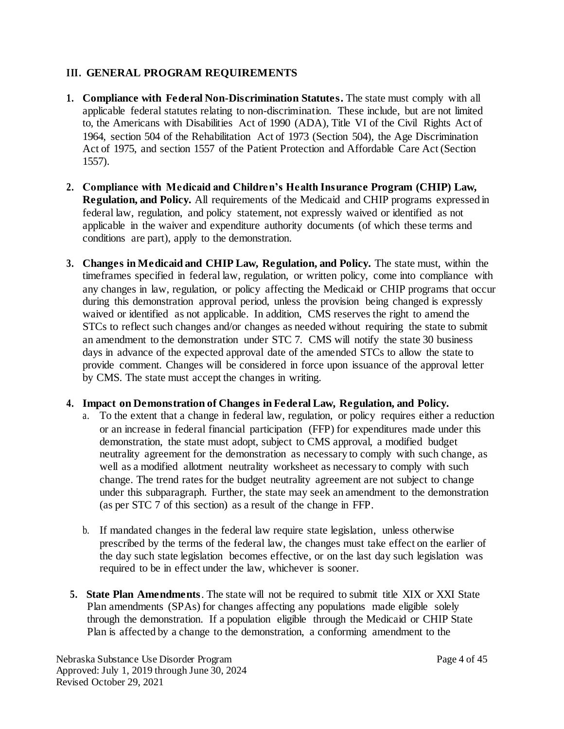# **III. GENERAL PROGRAM REQUIREMENTS**

- **1. Compliance with Federal Non-Discrimination Statutes.** The state must comply with all applicable federal statutes relating to non-discrimination. These include, but are not limited to, the Americans with Disabilities Act of 1990 (ADA), Title VI of the Civil Rights Act of 1964, section 504 of the Rehabilitation Act of 1973 (Section 504), the Age Discrimination Act of 1975, and section 1557 of the Patient Protection and Affordable Care Act (Section 1557).
- **2. Compliance with Medicaid and Children's Health Insurance Program (CHIP) Law, Regulation, and Policy.** All requirements of the Medicaid and CHIP programs expressed in federal law, regulation, and policy statement, not expressly waived or identified as not applicable in the waiver and expenditure authority documents (of which these terms and conditions are part), apply to the demonstration.
- **3. Changes in Medicaid and CHIP Law, Regulation, and Policy.** The state must, within the timeframes specified in federal law, regulation, or written policy, come into compliance with any changes in law, regulation, or policy affecting the Medicaid or CHIP programs that occur during this demonstration approval period, unless the provision being changed is expressly waived or identified as not applicable. In addition, CMS reserves the right to amend the STCs to reflect such changes and/or changes as needed without requiring the state to submit an amendment to the demonstration under STC 7. CMS will notify the state 30 business days in advance of the expected approval date of the amended STCs to allow the state to provide comment. Changes will be considered in force upon issuance of the approval letter by CMS. The state must accept the changes in writing.

## **4. Impact on Demonstration of Changes in Federal Law, Regulation, and Policy.**

- a. To the extent that a change in federal law, regulation, or policy requires either a reduction or an increase in federal financial participation (FFP) for expenditures made under this demonstration, the state must adopt, subject to CMS approval, a modified budget neutrality agreement for the demonstration as necessary to comply with such change, as well as a modified allotment neutrality worksheet as necessary to comply with such change. The trend rates for the budget neutrality agreement are not subject to change under this subparagraph. Further, the state may seek an amendment to the demonstration (as per STC 7 of this section) as a result of the change in FFP.
- b. If mandated changes in the federal law require state legislation, unless otherwise prescribed by the terms of the federal law, the changes must take effect on the earlier of the day such state legislation becomes effective, or on the last day such legislation was required to be in effect under the law, whichever is sooner.
- **5. State Plan Amendments**. The state will not be required to submit title XIX or XXI State Plan amendments (SPAs) for changes affecting any populations made eligible solely through the demonstration. If a population eligible through the Medicaid or CHIP State Plan is affected by a change to the demonstration, a conforming amendment to the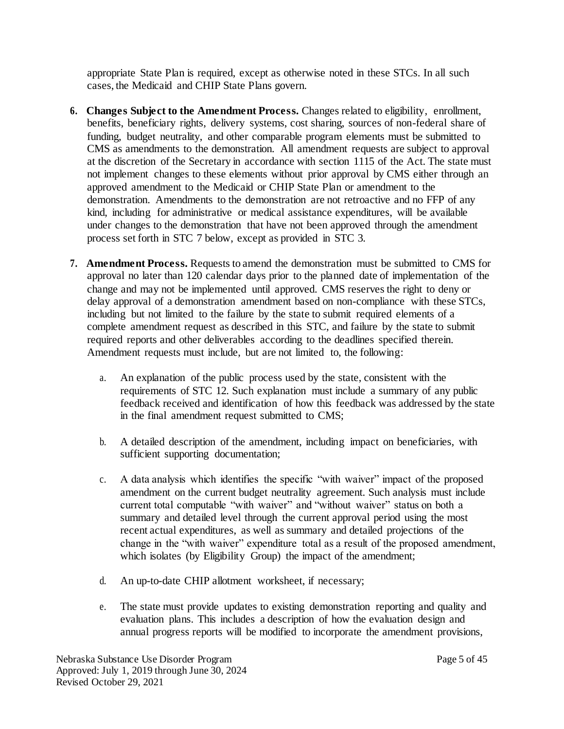appropriate State Plan is required, except as otherwise noted in these STCs. In all such cases, the Medicaid and CHIP State Plans govern.

- **6. Changes Subject to the Amendment Process.** Changes related to eligibility, enrollment, benefits, beneficiary rights, delivery systems, cost sharing, sources of non-federal share of funding, budget neutrality, and other comparable program elements must be submitted to CMS as amendments to the demonstration. All amendment requests are subject to approval at the discretion of the Secretary in accordance with section 1115 of the Act. The state must not implement changes to these elements without prior approval by CMS either through an approved amendment to the Medicaid or CHIP State Plan or amendment to the demonstration. Amendments to the demonstration are not retroactive and no FFP of any kind, including for administrative or medical assistance expenditures, will be available under changes to the demonstration that have not been approved through the amendment process set forth in STC 7 below, except as provided in STC 3.
- **7. Amendment Process.** Requests to amend the demonstration must be submitted to CMS for approval no later than 120 calendar days prior to the planned date of implementation of the change and may not be implemented until approved. CMS reserves the right to deny or delay approval of a demonstration amendment based on non-compliance with these STCs, including but not limited to the failure by the state to submit required elements of a complete amendment request as described in this STC, and failure by the state to submit required reports and other deliverables according to the deadlines specified therein. Amendment requests must include, but are not limited to, the following:
	- a. An explanation of the public process used by the state, consistent with the requirements of STC 12. Such explanation must include a summary of any public feedback received and identification of how this feedback was addressed by the state in the final amendment request submitted to CMS;
	- b. A detailed description of the amendment, including impact on beneficiaries, with sufficient supporting documentation;
	- c. A data analysis which identifies the specific "with waiver" impact of the proposed amendment on the current budget neutrality agreement. Such analysis must include current total computable "with waiver" and "without waiver" status on both a summary and detailed level through the current approval period using the most recent actual expenditures, as well as summary and detailed projections of the change in the "with waiver" expenditure total as a result of the proposed amendment, which isolates (by Eligibility Group) the impact of the amendment;
	- d. An up-to-date CHIP allotment worksheet, if necessary;
	- e. The state must provide updates to existing demonstration reporting and quality and evaluation plans. This includes a description of how the evaluation design and annual progress reports will be modified to incorporate the amendment provisions,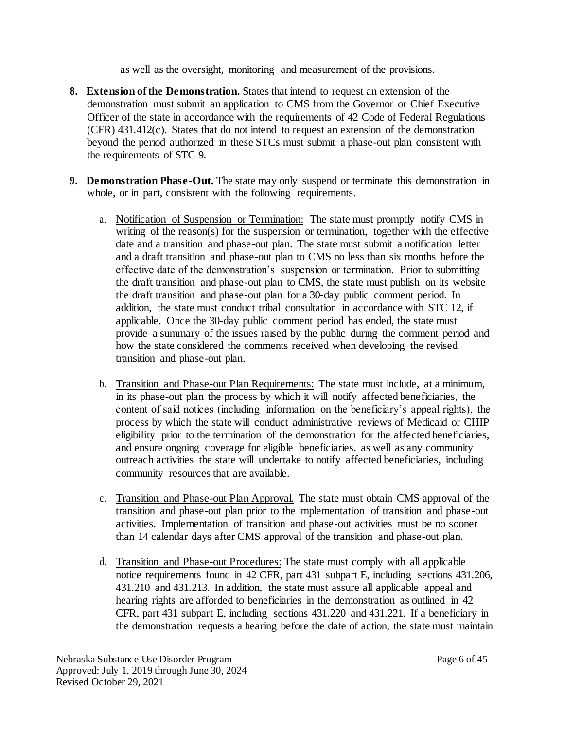as well as the oversight, monitoring and measurement of the provisions.

- **8. Extension of the Demonstration.** States that intend to request an extension of the demonstration must submit an application to CMS from the Governor or Chief Executive Officer of the state in accordance with the requirements of 42 Code of Federal Regulations (CFR) 431.412(c). States that do not intend to request an extension of the demonstration beyond the period authorized in these STCs must submit a phase-out plan consistent with the requirements of STC 9.
- **9. Demonstration Phase-Out.** The state may only suspend or terminate this demonstration in whole, or in part, consistent with the following requirements.
	- a. Notification of Suspension or Termination: The state must promptly notify CMS in writing of the reason(s) for the suspension or termination, together with the effective date and a transition and phase-out plan. The state must submit a notification letter and a draft transition and phase-out plan to CMS no less than six months before the effective date of the demonstration's suspension or termination. Prior to submitting the draft transition and phase-out plan to CMS, the state must publish on its website the draft transition and phase-out plan for a 30-day public comment period. In addition, the state must conduct tribal consultation in accordance with STC 12, if applicable. Once the 30-day public comment period has ended, the state must provide a summary of the issues raised by the public during the comment period and how the state considered the comments received when developing the revised transition and phase-out plan.
	- b. Transition and Phase-out Plan Requirements: The state must include, at a minimum, in its phase-out plan the process by which it will notify affected beneficiaries, the content of said notices (including information on the beneficiary's appeal rights), the process by which the state will conduct administrative reviews of Medicaid or CHIP eligibility prior to the termination of the demonstration for the affected beneficiaries, and ensure ongoing coverage for eligible beneficiaries, as well as any community outreach activities the state will undertake to notify affected beneficiaries, including community resources that are available.
	- c. Transition and Phase-out Plan Approval. The state must obtain CMS approval of the transition and phase-out plan prior to the implementation of transition and phase-out activities. Implementation of transition and phase-out activities must be no sooner than 14 calendar days after CMS approval of the transition and phase-out plan.
	- d. Transition and Phase-out Procedures: The state must comply with all applicable notice requirements found in 42 CFR, part 431 subpart E, including sections 431.206, 431.210 and 431.213. In addition, the state must assure all applicable appeal and hearing rights are afforded to beneficiaries in the demonstration as outlined in 42 CFR, part 431 subpart E, including sections 431.220 and 431.221. If a beneficiary in the demonstration requests a hearing before the date of action, the state must maintain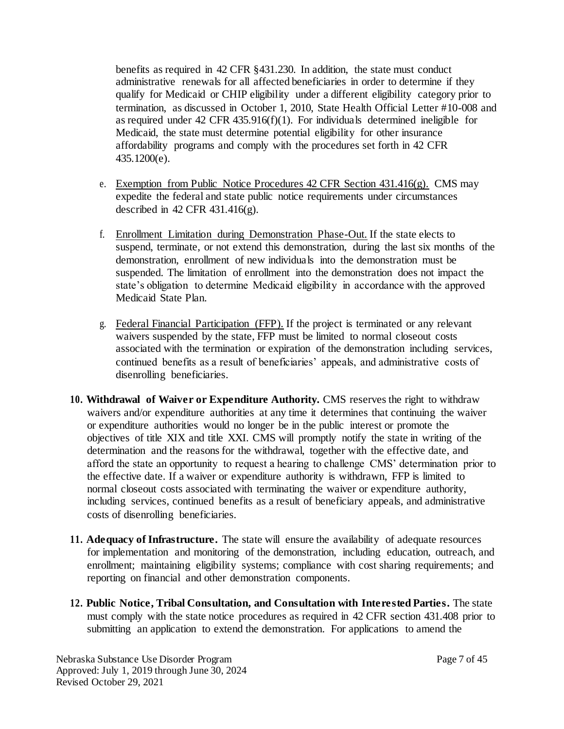benefits as required in 42 CFR §431.230. In addition, the state must conduct administrative renewals for all affected beneficiaries in order to determine if they qualify for Medicaid or CHIP eligibility under a different eligibility category prior to termination, as discussed in October 1, 2010, State Health Official Letter #10-008 and as required under 42 CFR 435.916(f)(1). For individuals determined ineligible for Medicaid, the state must determine potential eligibility for other insurance affordability programs and comply with the procedures set forth in 42 CFR 435.1200(e).

- e. Exemption from Public Notice Procedures 42 CFR Section 431.416(g). CMS may expedite the federal and state public notice requirements under circumstances described in 42 CFR 431.416(g).
- f. Enrollment Limitation during Demonstration Phase-Out. If the state elects to suspend, terminate, or not extend this demonstration, during the last six months of the demonstration, enrollment of new individuals into the demonstration must be suspended. The limitation of enrollment into the demonstration does not impact the state's obligation to determine Medicaid eligibility in accordance with the approved Medicaid State Plan.
- g. Federal Financial Participation (FFP). If the project is terminated or any relevant waivers suspended by the state, FFP must be limited to normal closeout costs associated with the termination or expiration of the demonstration including services, continued benefits as a result of beneficiaries' appeals, and administrative costs of disenrolling beneficiaries.
- **10. Withdrawal of Waiver or Expenditure Authority.** CMS reserves the right to withdraw waivers and/or expenditure authorities at any time it determines that continuing the waiver or expenditure authorities would no longer be in the public interest or promote the objectives of title XIX and title XXI. CMS will promptly notify the state in writing of the determination and the reasons for the withdrawal, together with the effective date, and afford the state an opportunity to request a hearing to challenge CMS' determination prior to the effective date. If a waiver or expenditure authority is withdrawn, FFP is limited to normal closeout costs associated with terminating the waiver or expenditure authority, including services, continued benefits as a result of beneficiary appeals, and administrative costs of disenrolling beneficiaries.
- **11. Adequacy of Infrastructure.** The state will ensure the availability of adequate resources for implementation and monitoring of the demonstration, including education, outreach, and enrollment; maintaining eligibility systems; compliance with cost sharing requirements; and reporting on financial and other demonstration components.
- **12. Public Notice, Tribal Consultation, and Consultation with Interested Parties.** The state must comply with the state notice procedures as required in 42 CFR section 431.408 prior to submitting an application to extend the demonstration. For applications to amend the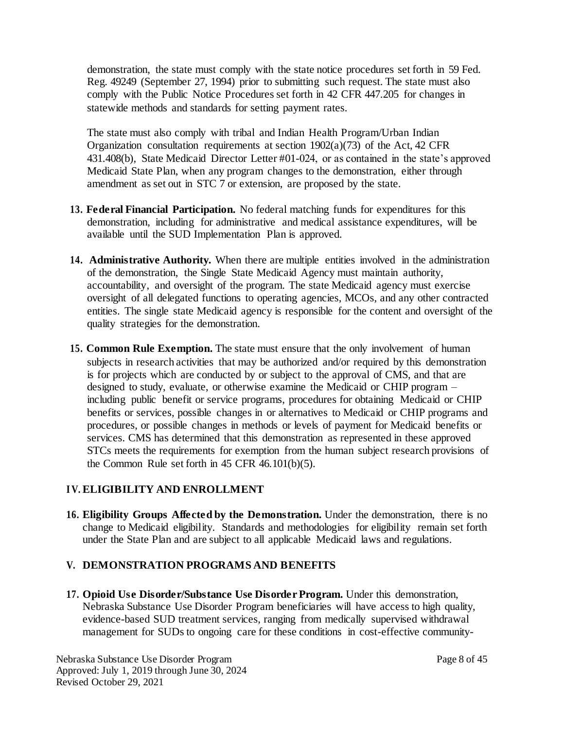demonstration, the state must comply with the state notice procedures set forth in 59 Fed. Reg. 49249 (September 27, 1994) prior to submitting such request. The state must also comply with the Public Notice Procedures set forth in 42 CFR 447.205 for changes in statewide methods and standards for setting payment rates.

The state must also comply with tribal and Indian Health Program/Urban Indian Organization consultation requirements at section 1902(a)(73) of the Act, 42 CFR 431.408(b), State Medicaid Director Letter #01-024, or as contained in the state's approved Medicaid State Plan, when any program changes to the demonstration, either through amendment as set out in STC 7 or extension, are proposed by the state.

- **13. Federal Financial Participation.** No federal matching funds for expenditures for this demonstration, including for administrative and medical assistance expenditures, will be available until the SUD Implementation Plan is approved.
- **14. Administrative Authority.** When there are multiple entities involved in the administration of the demonstration, the Single State Medicaid Agency must maintain authority, accountability, and oversight of the program. The state Medicaid agency must exercise oversight of all delegated functions to operating agencies, MCOs, and any other contracted entities. The single state Medicaid agency is responsible for the content and oversight of the quality strategies for the demonstration.
- **15. Common Rule Exemption.** The state must ensure that the only involvement of human subjects in research activities that may be authorized and/or required by this demonstration is for projects which are conducted by or subject to the approval of CMS, and that are designed to study, evaluate, or otherwise examine the Medicaid or CHIP program – including public benefit or service programs, procedures for obtaining Medicaid or CHIP benefits or services, possible changes in or alternatives to Medicaid or CHIP programs and procedures, or possible changes in methods or levels of payment for Medicaid benefits or services. CMS has determined that this demonstration as represented in these approved STCs meets the requirements for exemption from the human subject research provisions of the Common Rule set forth in 45 CFR 46.101(b)(5).

## **I V. ELIGIBILITY AND ENROLLMENT**

**16. Eligibility Groups Affected by the Demonstration.** Under the demonstration, there is no change to Medicaid eligibility. Standards and methodologies for eligibility remain set forth under the State Plan and are subject to all applicable Medicaid laws and regulations.

# **V. DEMONSTRATION PROGRAMS AND BENEFITS**

**17. Opioid Use Disorder/Substance Use Disorder Program.** Under this demonstration, Nebraska Substance Use Disorder Program beneficiaries will have access to high quality, evidence-based SUD treatment services, ranging from medically supervised withdrawal management for SUDs to ongoing care for these conditions in cost-effective community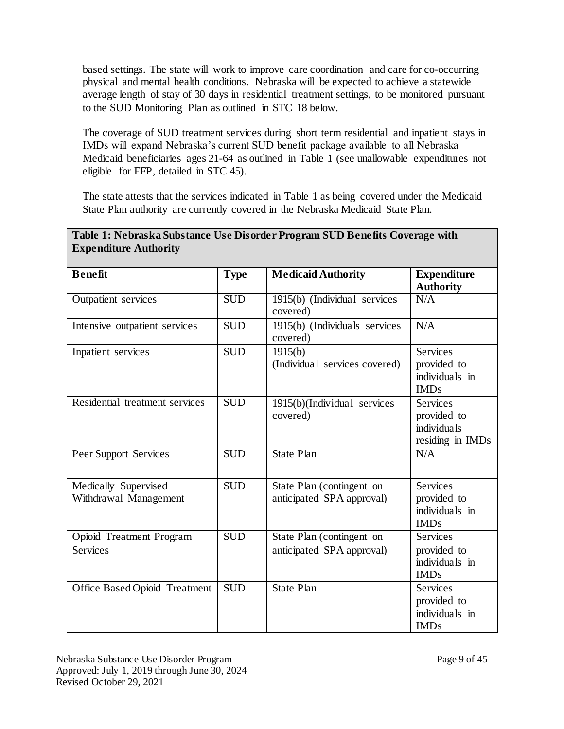based settings. The state will work to improve care coordination and care for co-occurring physical and mental health conditions. Nebraska will be expected to achieve a statewide average length of stay of 30 days in residential treatment settings, to be monitored pursuant to the SUD Monitoring Plan as outlined in STC 18 below.

The coverage of SUD treatment services during short term residential and inpatient stays in IMDs will expand Nebraska's current SUD benefit package available to all Nebraska Medicaid beneficiaries ages 21-64 as outlined in Table 1 (see unallowable expenditures not eligible for FFP, detailed in STC 45).

The state attests that the services indicated in Table 1 as being covered under the Medicaid State Plan authority are currently covered in the Nebraska Medicaid State Plan.

| <b>Expenditure Authority</b>                  |             | Table 1: Nebraska Substance Use Disorder Program SUD Benefits Coverage with |                                                                   |
|-----------------------------------------------|-------------|-----------------------------------------------------------------------------|-------------------------------------------------------------------|
| <b>Benefit</b>                                | <b>Type</b> | <b>Medicaid Authority</b>                                                   | <b>Expenditure</b><br><b>Authority</b>                            |
| Outpatient services                           | <b>SUD</b>  | 1915(b) (Individual services<br>covered)                                    | N/A                                                               |
| Intensive outpatient services                 | <b>SUD</b>  | 1915(b) (Individuals services<br>covered)                                   | N/A                                                               |
| Inpatient services                            | <b>SUD</b>  | 1915(b)<br>(Individual services covered)                                    | <b>Services</b><br>provided to<br>individuals in<br><b>IMDs</b>   |
| Residential treatment services                | <b>SUD</b>  | 1915(b)(Individual services<br>covered)                                     | <b>Services</b><br>provided to<br>individuals<br>residing in IMDs |
| Peer Support Services                         | <b>SUD</b>  | <b>State Plan</b>                                                           | N/A                                                               |
| Medically Supervised<br>Withdrawal Management | <b>SUD</b>  | State Plan (contingent on<br>anticipated SPA approval)                      | <b>Services</b><br>provided to<br>individuals in<br><b>IMDs</b>   |
| Opioid Treatment Program<br><b>Services</b>   | <b>SUD</b>  | State Plan (contingent on<br>anticipated SPA approval)                      | <b>Services</b><br>provided to<br>individuals in<br><b>IMDs</b>   |
| <b>Office Based Opioid Treatment</b>          | <b>SUD</b>  | <b>State Plan</b>                                                           | <b>Services</b><br>provided to<br>individuals in<br><b>IMDs</b>   |

**Table 1: Nebraska Substance Use Disorder Program SUD Benefits Coverage with**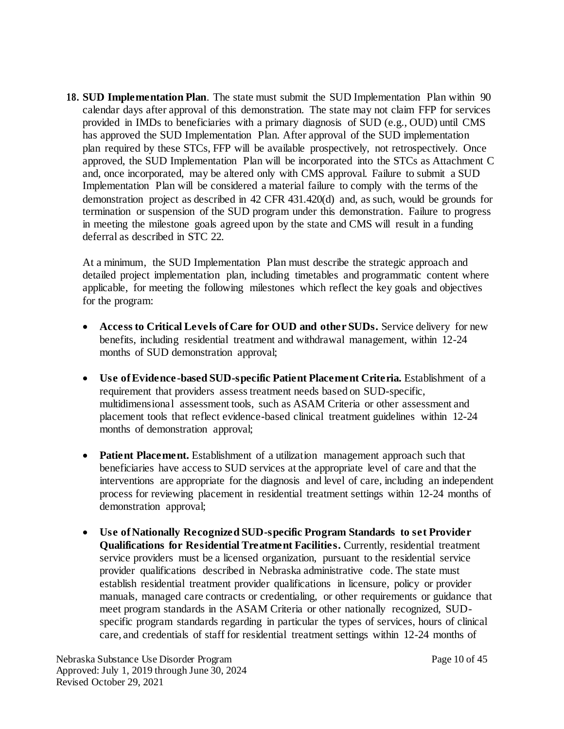**18. SUD Implementation Plan**. The state must submit the SUD Implementation Plan within 90 calendar days after approval of this demonstration. The state may not claim FFP for services provided in IMDs to beneficiaries with a primary diagnosis of SUD (e.g., OUD) until CMS has approved the SUD Implementation Plan. After approval of the SUD implementation plan required by these STCs, FFP will be available prospectively, not retrospectively. Once approved, the SUD Implementation Plan will be incorporated into the STCs as Attachment C and, once incorporated, may be altered only with CMS approval. Failure to submit a SUD Implementation Plan will be considered a material failure to comply with the terms of the demonstration project as described in 42 CFR 431.420(d) and, as such, would be grounds for termination or suspension of the SUD program under this demonstration. Failure to progress in meeting the milestone goals agreed upon by the state and CMS will result in a funding deferral as described in STC 22.

At a minimum, the SUD Implementation Plan must describe the strategic approach and detailed project implementation plan, including timetables and programmatic content where applicable, for meeting the following milestones which reflect the key goals and objectives for the program:

- **Access to Critical Levels of Care for OUD and other SUDs.** Service delivery for new benefits, including residential treatment and withdrawal management, within 12-24 months of SUD demonstration approval;
- **Use of Evidence-based SUD-specific Patient Placement Criteria.** Establishment of a requirement that providers assess treatment needs based on SUD-specific, multidimensional assessment tools, such as ASAM Criteria or other assessment and placement tools that reflect evidence-based clinical treatment guidelines within 12-24 months of demonstration approval;
- **Patient Placement.** Establishment of a utilization management approach such that beneficiaries have access to SUD services at the appropriate level of care and that the interventions are appropriate for the diagnosis and level of care, including an independent process for reviewing placement in residential treatment settings within 12-24 months of demonstration approval;
- **Use of Nationally Recognized SUD-specific Program Standards to set Provider Qualifications for Residential Treatment Facilities.** Currently, residential treatment service providers must be a licensed organization, pursuant to the residential service provider qualifications described in Nebraska administrative code. The state must establish residential treatment provider qualifications in licensure, policy or provider manuals, managed care contracts or credentialing, or other requirements or guidance that meet program standards in the ASAM Criteria or other nationally recognized, SUDspecific program standards regarding in particular the types of services, hours of clinical care, and credentials of staff for residential treatment settings within 12-24 months of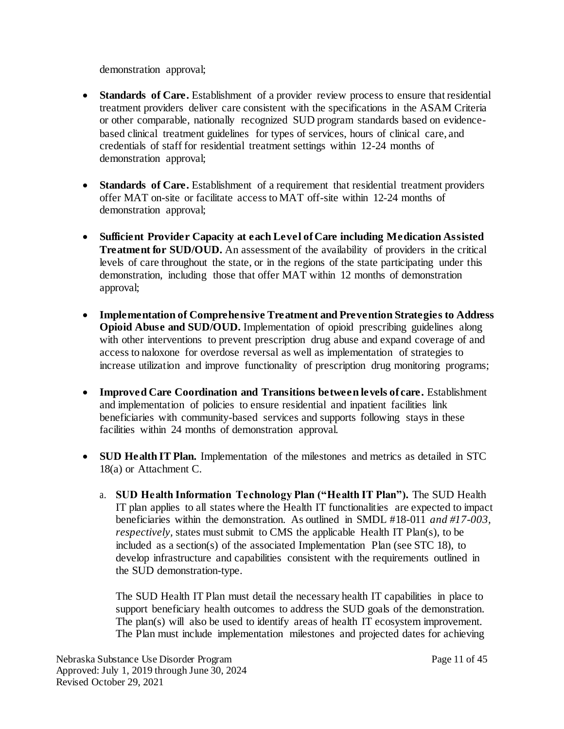demonstration approval;

- **Standards of Care.** Establishment of a provider review process to ensure that residential treatment providers deliver care consistent with the specifications in the ASAM Criteria or other comparable, nationally recognized SUD program standards based on evidencebased clinical treatment guidelines for types of services, hours of clinical care, and credentials of staff for residential treatment settings within 12-24 months of demonstration approval;
- **Standards of Care.** Establishment of a requirement that residential treatment providers offer MAT on-site or facilitate access to MAT off-site within 12-24 months of demonstration approval;
- **Sufficient Provider Capacity at each Level of Care including Medication Assisted Treatment for SUD/OUD.** An assessment of the availability of providers in the critical levels of care throughout the state, or in the regions of the state participating under this demonstration, including those that offer MAT within 12 months of demonstration approval;
- **Implementation of Comprehensive Treatment and Prevention Strategies to Address Opioid Abuse and SUD/OUD.** Implementation of opioid prescribing guidelines along with other interventions to prevent prescription drug abuse and expand coverage of and access to naloxone for overdose reversal as well as implementation of strategies to increase utilization and improve functionality of prescription drug monitoring programs;
- **Improved Care Coordination and Transitions between levels of care.** Establishment and implementation of policies to ensure residential and inpatient facilities link beneficiaries with community-based services and supports following stays in these facilities within 24 months of demonstration approval.
- **SUD Health IT Plan.** Implementation of the milestones and metrics as detailed in STC 18(a) or Attachment C.
	- a. **SUD Health Information Technology Plan ("Health IT Plan").** The SUD Health IT plan applies to all states where the Health IT functionalities are expected to impact beneficiaries within the demonstration. As outlined in SMDL #18-011 *and #17-003, respectively*, states must submit to CMS the applicable Health IT Plan(s), to be included as a section(s) of the associated Implementation Plan (see STC 18), to develop infrastructure and capabilities consistent with the requirements outlined in the SUD demonstration-type.

The SUD Health IT Plan must detail the necessary health IT capabilities in place to support beneficiary health outcomes to address the SUD goals of the demonstration. The plan(s) will also be used to identify areas of health IT ecosystem improvement. The Plan must include implementation milestones and projected dates for achieving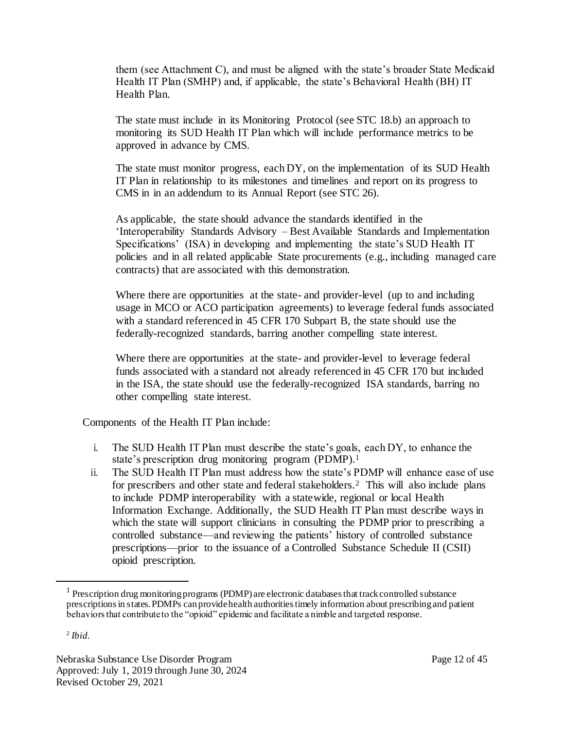them (see Attachment C), and must be aligned with the state's broader State Medicaid Health IT Plan (SMHP) and, if applicable, the state's Behavioral Health (BH) IT Health Plan.

The state must include in its Monitoring Protocol (see STC 18.b) an approach to monitoring its SUD Health IT Plan which will include performance metrics to be approved in advance by CMS.

The state must monitor progress, each DY, on the implementation of its SUD Health IT Plan in relationship to its milestones and timelines and report on its progress to CMS in in an addendum to its Annual Report (see STC 26).

As applicable, the state should advance the standards identified in the 'Interoperability Standards Advisory – Best Available Standards and Implementation Specifications' (ISA) in developing and implementing the state's SUD Health IT policies and in all related applicable State procurements (e.g., including managed care contracts) that are associated with this demonstration.

Where there are opportunities at the state- and provider-level (up to and including usage in MCO or ACO participation agreements) to leverage federal funds associated with a standard referenced in 45 CFR 170 Subpart B, the state should use the federally-recognized standards, barring another compelling state interest.

Where there are opportunities at the state- and provider-level to leverage federal funds associated with a standard not already referenced in 45 CFR 170 but included in the ISA, the state should use the federally-recognized ISA standards, barring no other compelling state interest.

Components of the Health IT Plan include:

- i. The SUD Health IT Plan must describe the state's goals, each DY, to enhance the state's prescription drug monitoring program (PDMP).<sup>1</sup>
- ii. The SUD Health IT Plan must address how the state's PDMP will enhance ease of use for prescribers and other state and federal stakeholders.<sup>2</sup> This will also include plans to include PDMP interoperability with a statewide, regional or local Health Information Exchange. Additionally, the SUD Health IT Plan must describe ways in which the state will support clinicians in consulting the PDMP prior to prescribing a controlled substance—and reviewing the patients' history of controlled substance prescriptions—prior to the issuance of a Controlled Substance Schedule II (CSII) opioid prescription.

 $\overline{a}$ 

<sup>&</sup>lt;sup>1</sup> Prescription drug monitoring programs (PDMP) are electronic databases that track controlled substance prescriptions in states. PDMPs can provide health authorities timely information about prescribing and patient behaviors that contribute to the "opioid" epidemic and facilitate a nimble and targeted response.

<sup>2</sup> *Ibid.*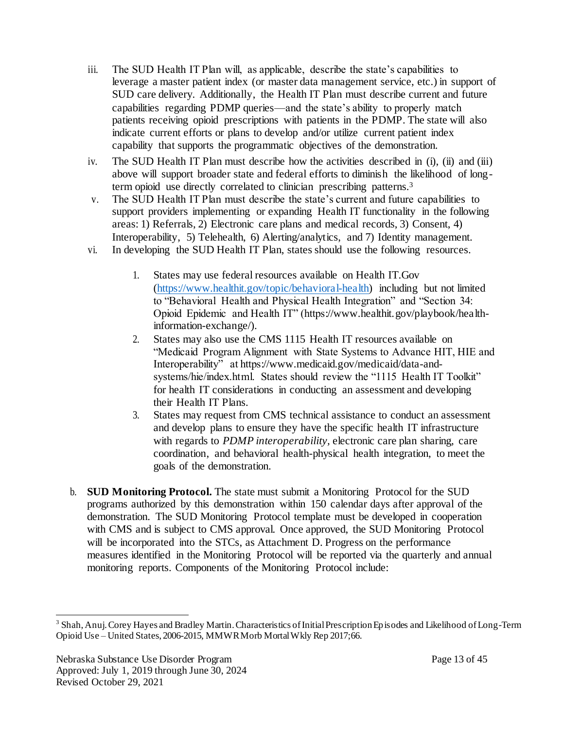- iii. The SUD Health IT Plan will, as applicable, describe the state's capabilities to leverage a master patient index (or master data management service, etc.) in support of SUD care delivery. Additionally, the Health IT Plan must describe current and future capabilities regarding PDMP queries—and the state's ability to properly match patients receiving opioid prescriptions with patients in the PDMP. The state will also indicate current efforts or plans to develop and/or utilize current patient index capability that supports the programmatic objectives of the demonstration.
- iv. The SUD Health IT Plan must describe how the activities described in (i), (ii) and (iii) above will support broader state and federal efforts to diminish the likelihood of longterm opioid use directly correlated to clinician prescribing patterns.<sup>3</sup>
- v. The SUD Health IT Plan must describe the state's current and future capabilities to support providers implementing or expanding Health IT functionality in the following areas: 1) Referrals, 2) Electronic care plans and medical records, 3) Consent, 4) Interoperability, 5) Telehealth, 6) Alerting/analytics, and 7) Identity management.
- vi. In developing the SUD Health IT Plan, states should use the following resources.
	- 1. States may use federal resources available on Health IT.Gov [\(https://www.healthit.gov/topic/behavioral-health\)](https://www.healthit.gov/topic/behavioral-health) including but not limited to "Behavioral Health and Physical Health Integration" and "Section 34: Opioid Epidemic and Health IT" (http[s://ww](http://www.healthit.gov/playbook/health-)w[.healthit.gov/playbook/health](http://www.healthit.gov/playbook/health-)information-exchange/).
	- 2. States may also use the CMS 1115 Health IT resources available on "Medicaid Program Alignment with State Systems to Advance HIT, HIE and Interoperability" at http[s://ww](http://www.medicaid.gov/medicaid/data-and-)w[.medicaid.gov/medicaid/data-and](http://www.medicaid.gov/medicaid/data-and-)systems/hie/index.html. States should review the "1115 Health IT Toolkit" for health IT considerations in conducting an assessment and developing their Health IT Plans.
	- 3. States may request from CMS technical assistance to conduct an assessment and develop plans to ensure they have the specific health IT infrastructure with regards to *PDMP interoperability,* electronic care plan sharing, care coordination, and behavioral health-physical health integration, to meet the goals of the demonstration.
- b. **SUD Monitoring Protocol.** The state must submit a Monitoring Protocol for the SUD programs authorized by this demonstration within 150 calendar days after approval of the demonstration. The SUD Monitoring Protocol template must be developed in cooperation with CMS and is subject to CMS approval. Once approved, the SUD Monitoring Protocol will be incorporated into the STCs, as Attachment D. Progress on the performance measures identified in the Monitoring Protocol will be reported via the quarterly and annual monitoring reports. Components of the Monitoring Protocol include:

l

<sup>&</sup>lt;sup>3</sup> Shah, Anuj. Corey Hayes and Bradley Martin. Characteristics of Initial Prescription Episodes and Likelihood of Long-Term Opioid Use – United States, 2006-2015, MMWR Morb Mortal Wkly Rep 2017;66.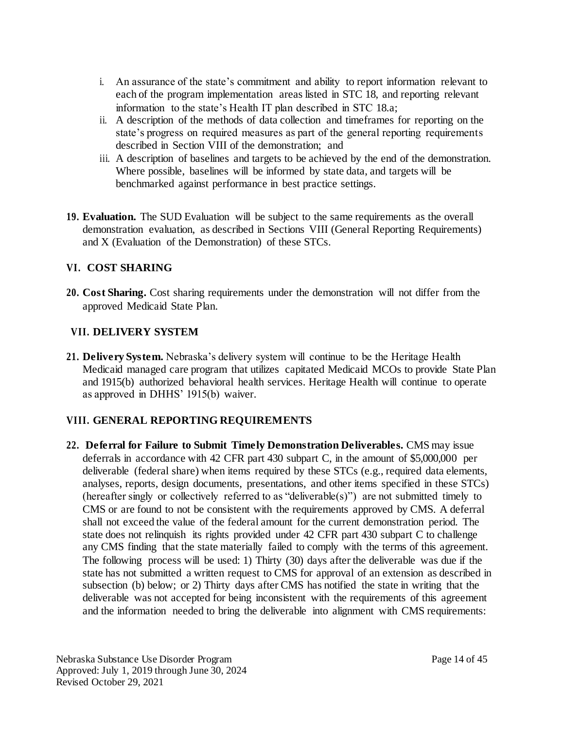- i. An assurance of the state's commitment and ability to report information relevant to each of the program implementation areas listed in STC 18, and reporting relevant information to the state's Health IT plan described in STC 18.a;
- ii. A description of the methods of data collection and timeframes for reporting on the state's progress on required measures as part of the general reporting requirements described in Section VIII of the demonstration; and
- iii. A description of baselines and targets to be achieved by the end of the demonstration. Where possible, baselines will be informed by state data, and targets will be benchmarked against performance in best practice settings.
- **19. Evaluation.** The SUD Evaluation will be subject to the same requirements as the overall demonstration evaluation, as described in Sections VIII (General Reporting Requirements) and X (Evaluation of the Demonstration) of these STCs.

# **VI. COST SHARING**

**20. Cost Sharing.** Cost sharing requirements under the demonstration will not differ from the approved Medicaid State Plan.

# **VII. DELIVERY SYSTEM**

**21. Delivery System.** Nebraska's delivery system will continue to be the Heritage Health Medicaid managed care program that utilizes capitated Medicaid MCOs to provide State Plan and 1915(b) authorized behavioral health services. Heritage Health will continue to operate as approved in DHHS' 1915(b) waiver.

# **VIII. GENERAL REPORTING REQUIREMENTS**

**22. Deferral for Failure to Submit Timely Demonstration Deliverables.** CMS may issue deferrals in accordance with 42 CFR part 430 subpart C, in the amount of \$5,000,000 per deliverable (federal share) when items required by these STCs (e.g., required data elements, analyses, reports, design documents, presentations, and other items specified in these STCs) (hereafter singly or collectively referred to as "deliverable(s)") are not submitted timely to CMS or are found to not be consistent with the requirements approved by CMS. A deferral shall not exceed the value of the federal amount for the current demonstration period. The state does not relinquish its rights provided under 42 CFR part 430 subpart C to challenge any CMS finding that the state materially failed to comply with the terms of this agreement. The following process will be used: 1) Thirty (30) days after the deliverable was due if the state has not submitted a written request to CMS for approval of an extension as described in subsection (b) below; or 2) Thirty days after CMS has notified the state in writing that the deliverable was not accepted for being inconsistent with the requirements of this agreement and the information needed to bring the deliverable into alignment with CMS requirements: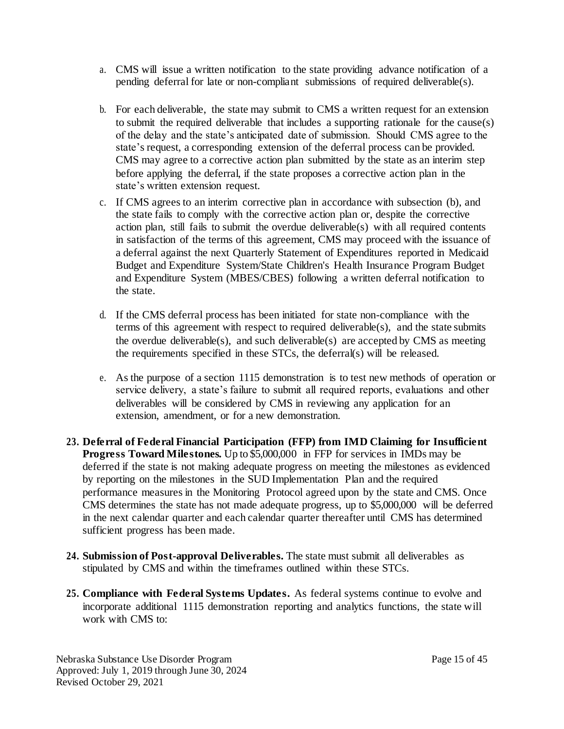- a. CMS will issue a written notification to the state providing advance notification of a pending deferral for late or non-compliant submissions of required deliverable(s).
- b. For each deliverable, the state may submit to CMS a written request for an extension to submit the required deliverable that includes a supporting rationale for the cause(s) of the delay and the state's anticipated date of submission. Should CMS agree to the state's request, a corresponding extension of the deferral process can be provided. CMS may agree to a corrective action plan submitted by the state as an interim step before applying the deferral, if the state proposes a corrective action plan in the state's written extension request.
- c. If CMS agrees to an interim corrective plan in accordance with subsection (b), and the state fails to comply with the corrective action plan or, despite the corrective action plan, still fails to submit the overdue deliverable(s) with all required contents in satisfaction of the terms of this agreement, CMS may proceed with the issuance of a deferral against the next Quarterly Statement of Expenditures reported in Medicaid Budget and Expenditure System/State Children's Health Insurance Program Budget and Expenditure System (MBES/CBES) following a written deferral notification to the state.
- d. If the CMS deferral process has been initiated for state non-compliance with the terms of this agreement with respect to required deliverable(s), and the state submits the overdue deliverable(s), and such deliverable(s) are accepted by CMS as meeting the requirements specified in these STCs, the deferral(s) will be released.
- e. As the purpose of a section 1115 demonstration is to test new methods of operation or service delivery, a state's failure to submit all required reports, evaluations and other deliverables will be considered by CMS in reviewing any application for an extension, amendment, or for a new demonstration.
- **23. Deferral of Federal Financial Participation (FFP) from IMD Claiming for Insufficient Progress Toward Milestones.** Up to \$5,000,000 in FFP for services in IMDs may be deferred if the state is not making adequate progress on meeting the milestones as evidenced by reporting on the milestones in the SUD Implementation Plan and the required performance measures in the Monitoring Protocol agreed upon by the state and CMS. Once CMS determines the state has not made adequate progress, up to \$5,000,000 will be deferred in the next calendar quarter and each calendar quarter thereafter until CMS has determined sufficient progress has been made.
- **24. Submission of Post-approval Deliverables.** The state must submit all deliverables as stipulated by CMS and within the timeframes outlined within these STCs.
- **25. Compliance with Federal Systems Updates.** As federal systems continue to evolve and incorporate additional 1115 demonstration reporting and analytics functions, the state will work with CMS to: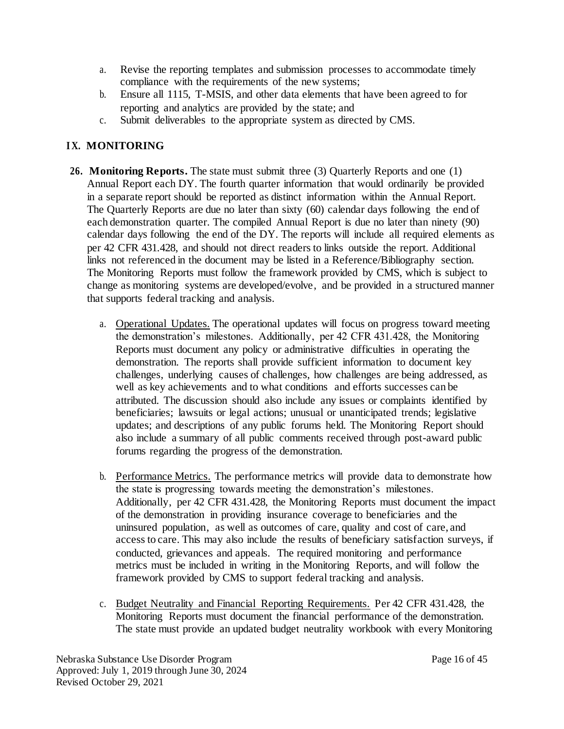- a. Revise the reporting templates and submission processes to accommodate timely compliance with the requirements of the new systems;
- b. Ensure all 1115, T-MSIS, and other data elements that have been agreed to for reporting and analytics are provided by the state; and
- c. Submit deliverables to the appropriate system as directed by CMS.

# **I X. MONITORING**

- **26. Monitoring Reports.** The state must submit three (3) Quarterly Reports and one (1) Annual Report each DY. The fourth quarter information that would ordinarily be provided in a separate report should be reported as distinct information within the Annual Report. The Quarterly Reports are due no later than sixty (60) calendar days following the end of each demonstration quarter. The compiled Annual Report is due no later than ninety (90) calendar days following the end of the DY. The reports will include all required elements as per 42 CFR 431.428, and should not direct readers to links outside the report. Additional links not referenced in the document may be listed in a Reference/Bibliography section. The Monitoring Reports must follow the framework provided by CMS, which is subject to change as monitoring systems are developed/evolve, and be provided in a structured manner that supports federal tracking and analysis.
	- a. Operational Updates. The operational updates will focus on progress toward meeting the demonstration's milestones. Additionally, per 42 CFR 431.428, the Monitoring Reports must document any policy or administrative difficulties in operating the demonstration. The reports shall provide sufficient information to document key challenges, underlying causes of challenges, how challenges are being addressed, as well as key achievements and to what conditions and efforts successes can be attributed. The discussion should also include any issues or complaints identified by beneficiaries; lawsuits or legal actions; unusual or unanticipated trends; legislative updates; and descriptions of any public forums held. The Monitoring Report should also include a summary of all public comments received through post-award public forums regarding the progress of the demonstration.
	- b. Performance Metrics. The performance metrics will provide data to demonstrate how the state is progressing towards meeting the demonstration's milestones. Additionally, per 42 CFR 431.428, the Monitoring Reports must document the impact of the demonstration in providing insurance coverage to beneficiaries and the uninsured population, as well as outcomes of care, quality and cost of care, and access to care. This may also include the results of beneficiary satisfaction surveys, if conducted, grievances and appeals. The required monitoring and performance metrics must be included in writing in the Monitoring Reports, and will follow the framework provided by CMS to support federal tracking and analysis.
	- c. Budget Neutrality and Financial Reporting Requirements. Per 42 CFR 431.428, the Monitoring Reports must document the financial performance of the demonstration. The state must provide an updated budget neutrality workbook with every Monitoring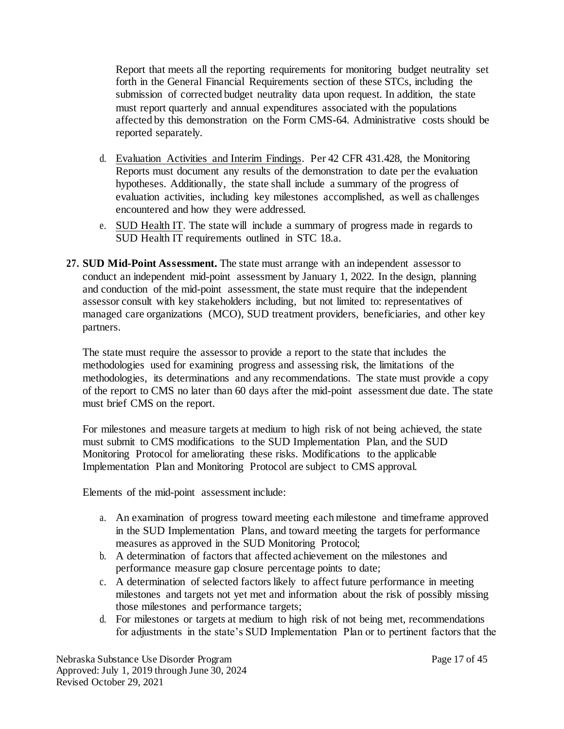Report that meets all the reporting requirements for monitoring budget neutrality set forth in the General Financial Requirements section of these STCs, including the submission of corrected budget neutrality data upon request. In addition, the state must report quarterly and annual expenditures associated with the populations affected by this demonstration on the Form CMS-64. Administrative costs should be reported separately.

- d. Evaluation Activities and Interim Findings. Per 42 CFR 431.428, the Monitoring Reports must document any results of the demonstration to date per the evaluation hypotheses. Additionally, the state shall include a summary of the progress of evaluation activities, including key milestones accomplished, as well as challenges encountered and how they were addressed.
- e. SUD Health IT. The state will include a summary of progress made in regards to SUD Health IT requirements outlined in STC 18.a.
- **27. SUD Mid-Point Assessment.** The state must arrange with an independent assessor to conduct an independent mid-point assessment by January 1, 2022. In the design, planning and conduction of the mid-point assessment, the state must require that the independent assessor consult with key stakeholders including, but not limited to: representatives of managed care organizations (MCO), SUD treatment providers, beneficiaries, and other key partners.

The state must require the assessor to provide a report to the state that includes the methodologies used for examining progress and assessing risk, the limitations of the methodologies, its determinations and any recommendations. The state must provide a copy of the report to CMS no later than 60 days after the mid-point assessment due date. The state must brief CMS on the report.

For milestones and measure targets at medium to high risk of not being achieved, the state must submit to CMS modifications to the SUD Implementation Plan, and the SUD Monitoring Protocol for ameliorating these risks. Modifications to the applicable Implementation Plan and Monitoring Protocol are subject to CMS approval.

Elements of the mid-point assessment include:

- a. An examination of progress toward meeting each milestone and timeframe approved in the SUD Implementation Plans, and toward meeting the targets for performance measures as approved in the SUD Monitoring Protocol;
- b. A determination of factors that affected achievement on the milestones and performance measure gap closure percentage points to date;
- c. A determination of selected factors likely to affect future performance in meeting milestones and targets not yet met and information about the risk of possibly missing those milestones and performance targets;
- d. For milestones or targets at medium to high risk of not being met, recommendations for adjustments in the state's SUD Implementation Plan or to pertinent factors that the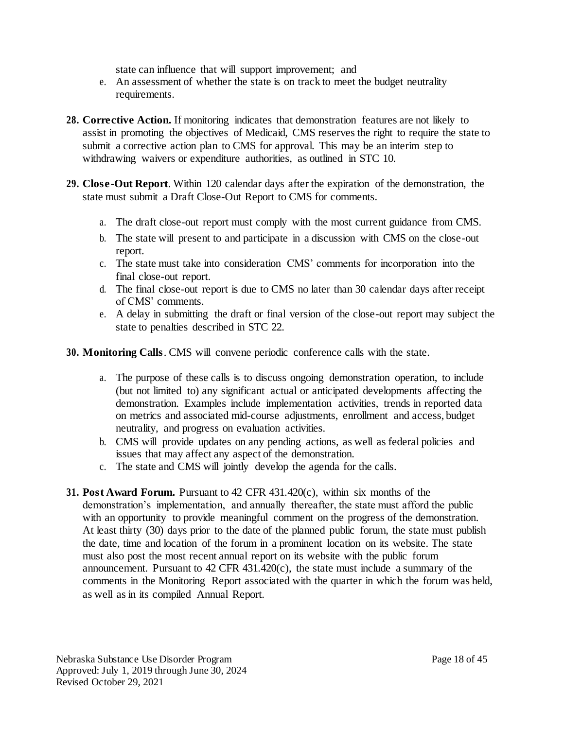state can influence that will support improvement; and

- e. An assessment of whether the state is on track to meet the budget neutrality requirements.
- **28. Corrective Action.** If monitoring indicates that demonstration features are not likely to assist in promoting the objectives of Medicaid, CMS reserves the right to require the state to submit a corrective action plan to CMS for approval. This may be an interim step to withdrawing waivers or expenditure authorities, as outlined in STC 10.
- **29. Close-Out Report**. Within 120 calendar days after the expiration of the demonstration, the state must submit a Draft Close-Out Report to CMS for comments.
	- a. The draft close-out report must comply with the most current guidance from CMS.
	- b. The state will present to and participate in a discussion with CMS on the close-out report.
	- c. The state must take into consideration CMS' comments for incorporation into the final close-out report.
	- d. The final close-out report is due to CMS no later than 30 calendar days after receipt of CMS' comments.
	- e. A delay in submitting the draft or final version of the close-out report may subject the state to penalties described in STC 22.

**30. Monitoring Calls**. CMS will convene periodic conference calls with the state.

- a. The purpose of these calls is to discuss ongoing demonstration operation, to include (but not limited to) any significant actual or anticipated developments affecting the demonstration. Examples include implementation activities, trends in reported data on metrics and associated mid-course adjustments, enrollment and access, budget neutrality, and progress on evaluation activities.
- b. CMS will provide updates on any pending actions, as well as federal policies and issues that may affect any aspect of the demonstration.
- c. The state and CMS will jointly develop the agenda for the calls.
- **31. Post Award Forum.** Pursuant to 42 CFR 431.420(c), within six months of the demonstration's implementation, and annually thereafter, the state must afford the public with an opportunity to provide meaningful comment on the progress of the demonstration. At least thirty (30) days prior to the date of the planned public forum, the state must publish the date, time and location of the forum in a prominent location on its website. The state must also post the most recent annual report on its website with the public forum announcement. Pursuant to  $42 \text{ CFR } 431.420(c)$ , the state must include a summary of the comments in the Monitoring Report associated with the quarter in which the forum was held, as well as in its compiled Annual Report.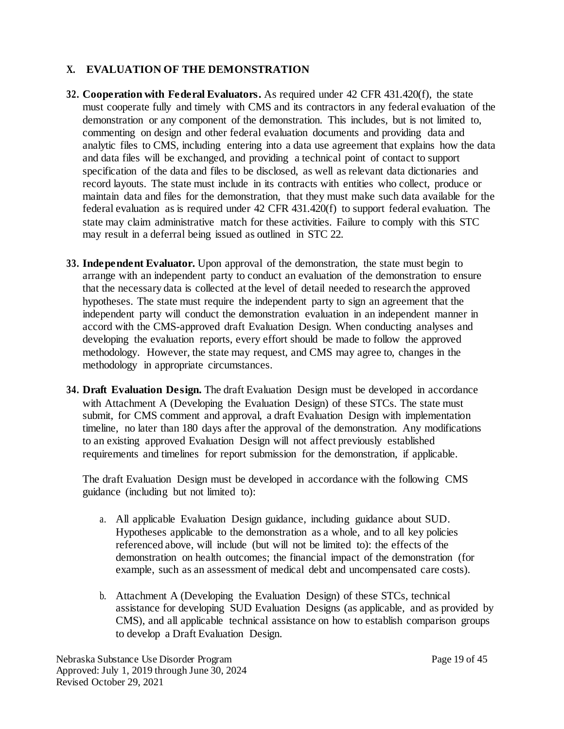# **X. EVALUATION OF THE DEMONSTRATION**

- **32. Cooperation with Federal Evaluators.** As required under 42 CFR 431.420(f), the state must cooperate fully and timely with CMS and its contractors in any federal evaluation of the demonstration or any component of the demonstration. This includes, but is not limited to, commenting on design and other federal evaluation documents and providing data and analytic files to CMS, including entering into a data use agreement that explains how the data and data files will be exchanged, and providing a technical point of contact to support specification of the data and files to be disclosed, as well as relevant data dictionaries and record layouts. The state must include in its contracts with entities who collect, produce or maintain data and files for the demonstration, that they must make such data available for the federal evaluation as is required under 42 CFR 431.420(f) to support federal evaluation. The state may claim administrative match for these activities. Failure to comply with this STC may result in a deferral being issued as outlined in STC 22.
- **33. Independent Evaluator.** Upon approval of the demonstration, the state must begin to arrange with an independent party to conduct an evaluation of the demonstration to ensure that the necessary data is collected at the level of detail needed to research the approved hypotheses. The state must require the independent party to sign an agreement that the independent party will conduct the demonstration evaluation in an independent manner in accord with the CMS-approved draft Evaluation Design. When conducting analyses and developing the evaluation reports, every effort should be made to follow the approved methodology. However, the state may request, and CMS may agree to, changes in the methodology in appropriate circumstances.
- **34. Draft Evaluation Design.** The draft Evaluation Design must be developed in accordance with Attachment A (Developing the Evaluation Design) of these STCs. The state must submit, for CMS comment and approval, a draft Evaluation Design with implementation timeline, no later than 180 days after the approval of the demonstration. Any modifications to an existing approved Evaluation Design will not affect previously established requirements and timelines for report submission for the demonstration, if applicable.

The draft Evaluation Design must be developed in accordance with the following CMS guidance (including but not limited to):

- a. All applicable Evaluation Design guidance, including guidance about SUD*.*  Hypotheses applicable to the demonstration as a whole, and to all key policies referenced above, will include (but will not be limited to): the effects of the demonstration on health outcomes; the financial impact of the demonstration (for example, such as an assessment of medical debt and uncompensated care costs).
- b. Attachment A (Developing the Evaluation Design) of these STCs, technical assistance for developing SUD Evaluation Designs (as applicable, and as provided by CMS), and all applicable technical assistance on how to establish comparison groups to develop a Draft Evaluation Design.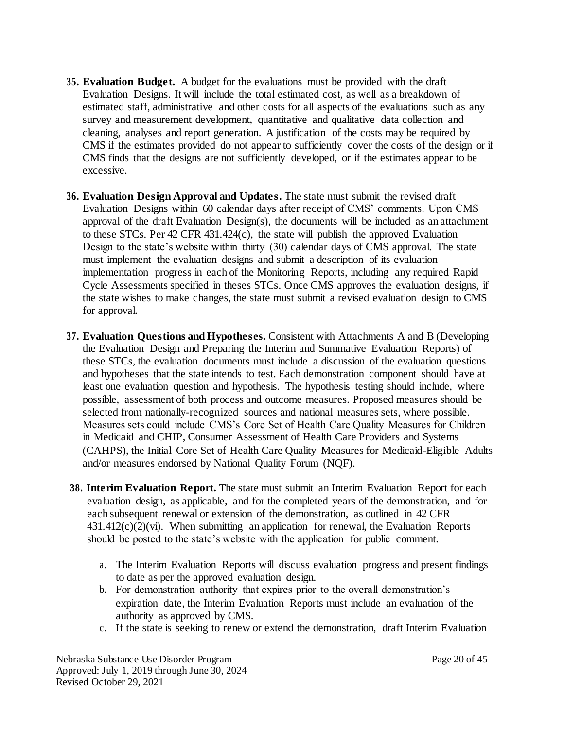- **35. Evaluation Budget.** A budget for the evaluations must be provided with the draft Evaluation Designs. It will include the total estimated cost, as well as a breakdown of estimated staff, administrative and other costs for all aspects of the evaluations such as any survey and measurement development, quantitative and qualitative data collection and cleaning, analyses and report generation. A justification of the costs may be required by CMS if the estimates provided do not appear to sufficiently cover the costs of the design or if CMS finds that the designs are not sufficiently developed, or if the estimates appear to be excessive.
- **36. Evaluation Design Approval and Updates.** The state must submit the revised draft Evaluation Designs within 60 calendar days after receipt of CMS' comments. Upon CMS approval of the draft Evaluation Design(s), the documents will be included as an attachment to these STCs. Per 42 CFR 431.424(c), the state will publish the approved Evaluation Design to the state's website within thirty (30) calendar days of CMS approval. The state must implement the evaluation designs and submit a description of its evaluation implementation progress in each of the Monitoring Reports, including any required Rapid Cycle Assessments specified in theses STCs. Once CMS approves the evaluation designs, if the state wishes to make changes, the state must submit a revised evaluation design to CMS for approval.
- **37. Evaluation Questions and Hypotheses.** Consistent with Attachments A and B (Developing the Evaluation Design and Preparing the Interim and Summative Evaluation Reports) of these STCs, the evaluation documents must include a discussion of the evaluation questions and hypotheses that the state intends to test. Each demonstration component should have at least one evaluation question and hypothesis. The hypothesis testing should include, where possible, assessment of both process and outcome measures. Proposed measures should be selected from nationally-recognized sources and national measures sets, where possible. Measures sets could include CMS's Core Set of Health Care Quality Measures for Children in Medicaid and CHIP, Consumer Assessment of Health Care Providers and Systems (CAHPS), the Initial Core Set of Health Care Quality Measures for Medicaid-Eligible Adults and/or measures endorsed by National Quality Forum (NQF).
- **38. Interim Evaluation Report.** The state must submit an Interim Evaluation Report for each evaluation design, as applicable, and for the completed years of the demonstration, and for each subsequent renewal or extension of the demonstration, as outlined in 42 CFR  $431.412(c)(2)(vi)$ . When submitting an application for renewal, the Evaluation Reports should be posted to the state's website with the application for public comment.
	- a. The Interim Evaluation Reports will discuss evaluation progress and present findings to date as per the approved evaluation design.
	- b. For demonstration authority that expires prior to the overall demonstration's expiration date, the Interim Evaluation Reports must include an evaluation of the authority as approved by CMS.
	- c. If the state is seeking to renew or extend the demonstration, draft Interim Evaluation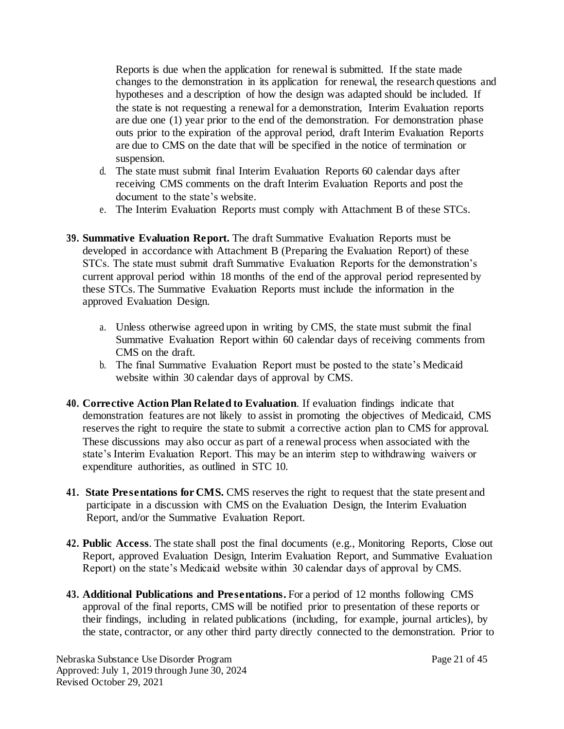Reports is due when the application for renewal is submitted. If the state made changes to the demonstration in its application for renewal, the research questions and hypotheses and a description of how the design was adapted should be included. If the state is not requesting a renewal for a demonstration, Interim Evaluation reports are due one (1) year prior to the end of the demonstration. For demonstration phase outs prior to the expiration of the approval period, draft Interim Evaluation Report*s*  are due to CMS on the date that will be specified in the notice of termination or suspension.

- d. The state must submit final Interim Evaluation Reports 60 calendar days after receiving CMS comments on the draft Interim Evaluation Reports and post the document to the state's website.
- e. The Interim Evaluation Report*s* must comply with Attachment B of these STCs.
- **39. Summative Evaluation Report.** The draft Summative Evaluation Reports must be developed in accordance with Attachment B (Preparing the Evaluation Report) of these STCs. The state must submit draft Summative Evaluation Reports for the demonstration's current approval period within 18 months of the end of the approval period represented by these STCs. The Summative Evaluation Reports must include the information in the approved Evaluation Design.
	- a. Unless otherwise agreed upon in writing by CMS, the state must submit the final Summative Evaluation Report within 60 calendar days of receiving comments from CMS on the draft.
	- b. The final Summative Evaluation Report must be posted to the state's Medicaid website within 30 calendar days of approval by CMS.
- **40. Corrective Action Plan Related to Evaluation**. If evaluation findings indicate that demonstration features are not likely to assist in promoting the objectives of Medicaid, CMS reserves the right to require the state to submit a corrective action plan to CMS for approval. These discussions may also occur as part of a renewal process when associated with the state's Interim Evaluation Report. This may be an interim step to withdrawing waivers or expenditure authorities, as outlined in STC 10.
- **41. State Presentations for CMS.** CMS reserves the right to request that the state present and participate in a discussion with CMS on the Evaluation Design, the Interim Evaluation Report, and/or the Summative Evaluation Report.
- **42. Public Access**. The state shall post the final documents (e.g., Monitoring Reports, Close out Report, approved Evaluation Design, Interim Evaluation Report, and Summative Evaluation Report) on the state's Medicaid website within 30 calendar days of approval by CMS.
- **43. Additional Publications and Presentations.** For a period of 12 months following CMS approval of the final reports, CMS will be notified prior to presentation of these reports or their findings, including in related publications (including, for example, journal articles), by the state, contractor, or any other third party directly connected to the demonstration. Prior to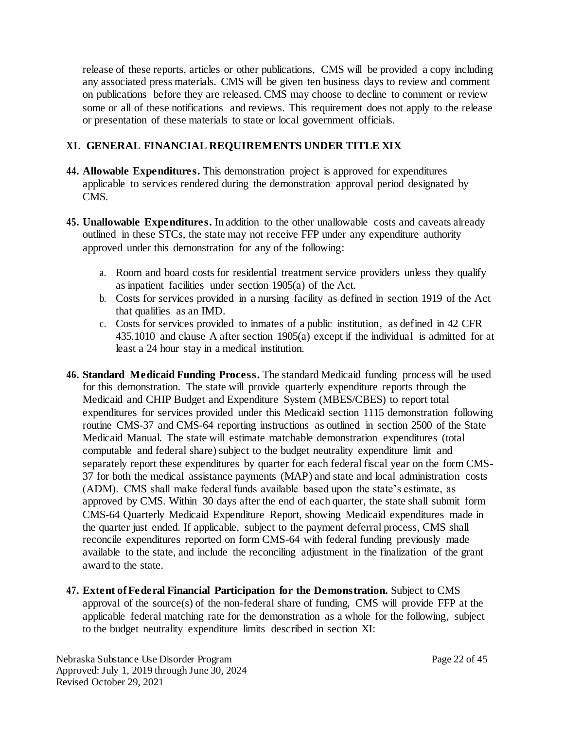release of these reports, articles or other publications, CMS will be provided a copy including any associated press materials. CMS will be given ten business days to review and comment on publications before they are released. CMS may choose to decline to comment or review some or all of these notifications and reviews. This requirement does not apply to the release or presentation of these materials to state or local government officials.

# **XI. GENERAL FINANCIAL REQUIREMENTS UNDER TITLE XIX**

- **44. Allowable Expenditures.** This demonstration project is approved for expenditures applicable to services rendered during the demonstration approval period designated by CMS.
- **45. Unallowable Expenditures.** In addition to the other unallowable costs and caveats already outlined in these STCs, the state may not receive FFP under any expenditure authority approved under this demonstration for any of the following:
	- a. Room and board costs for residential treatment service providers unless they qualify as inpatient facilities under section 1905(a) of the Act.
	- b. Costs for services provided in a nursing facility as defined in section 1919 of the Act that qualifies as an IMD.
	- c. Costs for services provided to inmates of a public institution, as defined in 42 CFR 435.1010 and clause A after section 1905(a) except if the individual is admitted for at least a 24 hour stay in a medical institution.
- **46. Standard Medicaid Funding Process.** The standard Medicaid funding process will be used for this demonstration. The state will provide quarterly expenditure reports through the Medicaid and CHIP Budget and Expenditure System (MBES/CBES) to report total expenditures for services provided under this Medicaid section 1115 demonstration following routine CMS-37 and CMS-64 reporting instructions as outlined in section 2500 of the State Medicaid Manual. The state will estimate matchable demonstration expenditures (total computable and federal share) subject to the budget neutrality expenditure limit and separately report these expenditures by quarter for each federal fiscal year on the form CMS-37 for both the medical assistance payments (MAP) and state and local administration costs (ADM). CMS shall make federal funds available based upon the state's estimate, as approved by CMS. Within 30 days after the end of each quarter, the state shall submit form CMS-64 Quarterly Medicaid Expenditure Report, showing Medicaid expenditures made in the quarter just ended. If applicable, subject to the payment deferral process, CMS shall reconcile expenditures reported on form CMS-64 with federal funding previously made available to the state, and include the reconciling adjustment in the finalization of the grant award to the state.
- **47. Extent of Federal Financial Participation for the Demonstration.** Subject to CMS approval of the source(s) of the non-federal share of funding, CMS will provide FFP at the applicable federal matching rate for the demonstration as a whole for the following, subject to the budget neutrality expenditure limits described in section XI: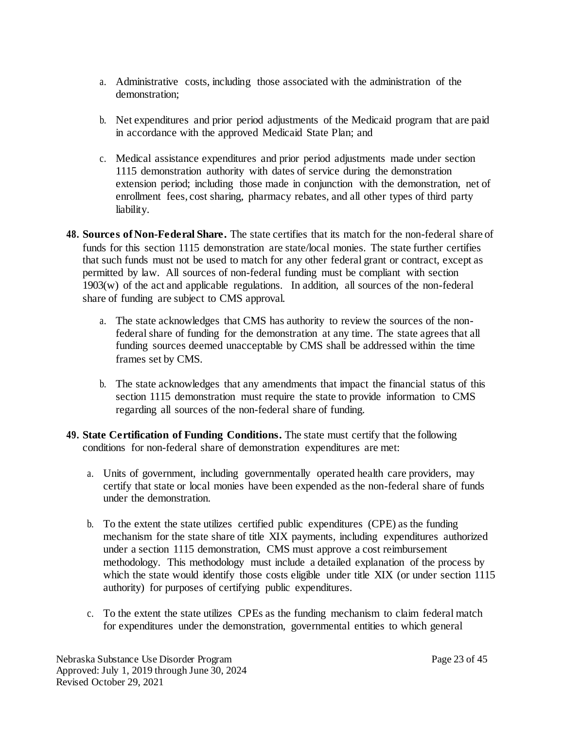- a. Administrative costs, including those associated with the administration of the demonstration;
- b. Net expenditures and prior period adjustments of the Medicaid program that are paid in accordance with the approved Medicaid State Plan; and
- c. Medical assistance expenditures and prior period adjustments made under section 1115 demonstration authority with dates of service during the demonstration extension period; including those made in conjunction with the demonstration, net of enrollment fees, cost sharing, pharmacy rebates, and all other types of third party liability.
- **48. Sources of Non-Federal Share.** The state certifies that its match for the non-federal share of funds for this section 1115 demonstration are state/local monies. The state further certifies that such funds must not be used to match for any other federal grant or contract, except as permitted by law. All sources of non-federal funding must be compliant with section 1903(w) of the act and applicable regulations. In addition, all sources of the non-federal share of funding are subject to CMS approval.
	- a. The state acknowledges that CMS has authority to review the sources of the nonfederal share of funding for the demonstration at any time. The state agrees that all funding sources deemed unacceptable by CMS shall be addressed within the time frames set by CMS.
	- b. The state acknowledges that any amendments that impact the financial status of this section 1115 demonstration must require the state to provide information to CMS regarding all sources of the non-federal share of funding.
- **49. State Certification of Funding Conditions.** The state must certify that the following conditions for non-federal share of demonstration expenditures are met:
	- a. Units of government, including governmentally operated health care providers, may certify that state or local monies have been expended as the non-federal share of funds under the demonstration.
	- b. To the extent the state utilizes certified public expenditures (CPE) as the funding mechanism for the state share of title XIX payments, including expenditures authorized under a section 1115 demonstration, CMS must approve a cost reimbursement methodology. This methodology must include a detailed explanation of the process by which the state would identify those costs eligible under title XIX (or under section 1115 authority) for purposes of certifying public expenditures.
	- c. To the extent the state utilizes CPEs as the funding mechanism to claim federal match for expenditures under the demonstration, governmental entities to which general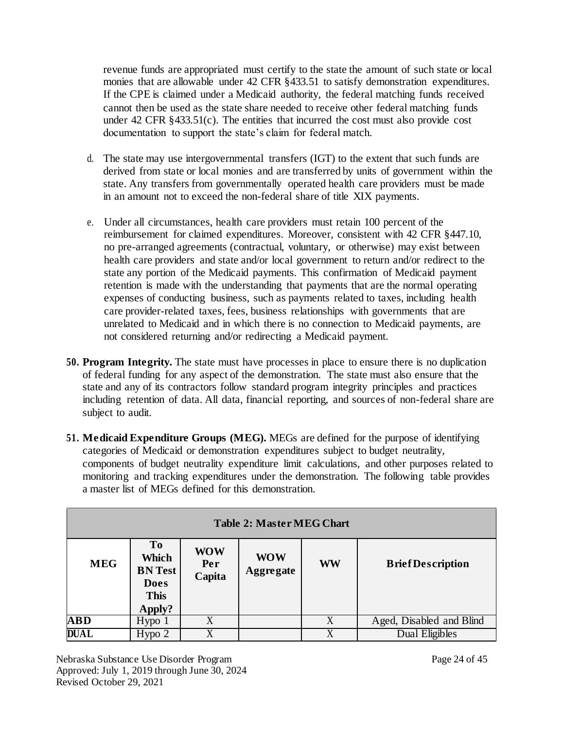revenue funds are appropriated must certify to the state the amount of such state or local monies that are allowable under 42 CFR §433.51 to satisfy demonstration expenditures. If the CPE is claimed under a Medicaid authority, the federal matching funds received cannot then be used as the state share needed to receive other federal matching funds under 42 CFR §433.51(c). The entities that incurred the cost must also provide cost documentation to support the state's claim for federal match.

- d. The state may use intergovernmental transfers (IGT) to the extent that such funds are derived from state or local monies and are transferred by units of government within the state. Any transfers from governmentally operated health care providers must be made in an amount not to exceed the non-federal share of title XIX payments.
- e. Under all circumstances, health care providers must retain 100 percent of the reimbursement for claimed expenditures. Moreover, consistent with 42 CFR §447.10, no pre-arranged agreements (contractual, voluntary, or otherwise) may exist between health care providers and state and/or local government to return and/or redirect to the state any portion of the Medicaid payments. This confirmation of Medicaid payment retention is made with the understanding that payments that are the normal operating expenses of conducting business, such as payments related to taxes, including health care provider-related taxes, fees, business relationships with governments that are unrelated to Medicaid and in which there is no connection to Medicaid payments, are not considered returning and/or redirecting a Medicaid payment.
- **50. Program Integrity.** The state must have processes in place to ensure there is no duplication of federal funding for any aspect of the demonstration. The state must also ensure that the state and any of its contractors follow standard program integrity principles and practices including retention of data. All data, financial reporting, and sources of non-federal share are subject to audit.
- **51. Medicaid Expenditure Groups (MEG).** MEGs are defined for the purpose of identifying categories of Medicaid or demonstration expenditures subject to budget neutrality, components of budget neutrality expenditure limit calculations, and other purposes related to monitoring and tracking expenditures under the demonstration. The following table provides a master list of MEGs defined for this demonstration.

| <b>Table 2: Master MEG Chart</b> |                                                                                   |                             |                                |           |                          |  |  |  |
|----------------------------------|-----------------------------------------------------------------------------------|-----------------------------|--------------------------------|-----------|--------------------------|--|--|--|
| <b>MEG</b>                       | T <sub>o</sub><br>Which<br><b>BN Test</b><br><b>Does</b><br><b>This</b><br>Apply? | <b>WOW</b><br>Per<br>Capita | <b>WOW</b><br><b>Aggregate</b> | <b>WW</b> | <b>Brief Description</b> |  |  |  |
| <b>ABD</b>                       | Hypo <sub>1</sub>                                                                 | X                           |                                | X         | Aged, Disabled and Blind |  |  |  |
| <b>DUAL</b>                      | Hypo <sub>2</sub>                                                                 |                             |                                | X         | Dual Eligibles           |  |  |  |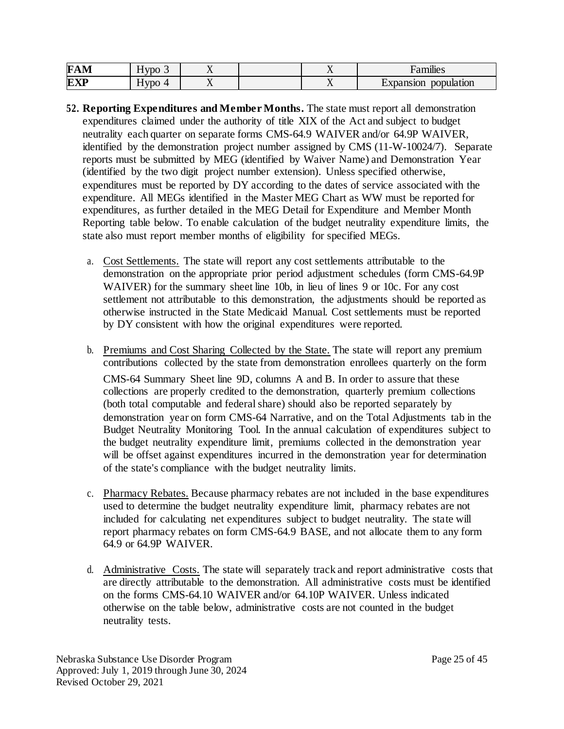| –<br>IН<br>$\sqrt{2}$<br>₩ | $ -$<br><b>FIAC</b><br>. . | $\ddot{\phantom{0}}$ |                          | $\bullet$<br>יייו⊔כ⊳ |
|----------------------------|----------------------------|----------------------|--------------------------|----------------------|
| EX                         | 37 <b>17</b><br>. .<br>- - | $\overline{ }$       | $\overline{\phantom{a}}$ | pulation<br>.)O      |

- **52. Reporting Expenditures and Member Months.** The state must report all demonstration expenditures claimed under the authority of title XIX of the Act and subject to budget neutrality each quarter on separate forms CMS-64.9 WAIVER and/or 64.9P WAIVER, identified by the demonstration project number assigned by CMS (11-W-10024/7). Separate reports must be submitted by MEG (identified by Waiver Name) and Demonstration Year (identified by the two digit project number extension). Unless specified otherwise, expenditures must be reported by DY according to the dates of service associated with the expenditure. All MEGs identified in the Master MEG Chart as WW must be reported for expenditures, as further detailed in the MEG Detail for Expenditure and Member Month Reporting table below. To enable calculation of the budget neutrality expenditure limits, the state also must report member months of eligibility for specified MEGs.
	- a. Cost Settlements. The state will report any cost settlements attributable to the demonstration on the appropriate prior period adjustment schedules (form CMS-64.9P WAIVER) for the summary sheet line 10b, in lieu of lines 9 or 10c. For any cost settlement not attributable to this demonstration, the adjustments should be reported as otherwise instructed in the State Medicaid Manual. Cost settlements must be reported by DY consistent with how the original expenditures were reported.
	- b. Premiums and Cost Sharing Collected by the State. The state will report any premium contributions collected by the state from demonstration enrollees quarterly on the form

CMS-64 Summary Sheet line 9D, columns A and B. In order to assure that these collections are properly credited to the demonstration, quarterly premium collections (both total computable and federal share) should also be reported separately by demonstration year on form CMS-64 Narrative, and on the Total Adjustments tab in the Budget Neutrality Monitoring Tool. In the annual calculation of expenditures subject to the budget neutrality expenditure limit, premiums collected in the demonstration year will be offset against expenditures incurred in the demonstration year for determination of the state's compliance with the budget neutrality limits.

- c. Pharmacy Rebates. Because pharmacy rebates are not included in the base expenditures used to determine the budget neutrality expenditure limit, pharmacy rebates are not included for calculating net expenditures subject to budget neutrality. The state will report pharmacy rebates on form CMS-64.9 BASE, and not allocate them to any form 64.9 or 64.9P WAIVER.
- d. Administrative Costs. The state will separately track and report administrative costs that are directly attributable to the demonstration. All administrative costs must be identified on the forms CMS-64.10 WAIVER and/or 64.10P WAIVER. Unless indicated otherwise on the table below, administrative costs are not counted in the budget neutrality tests.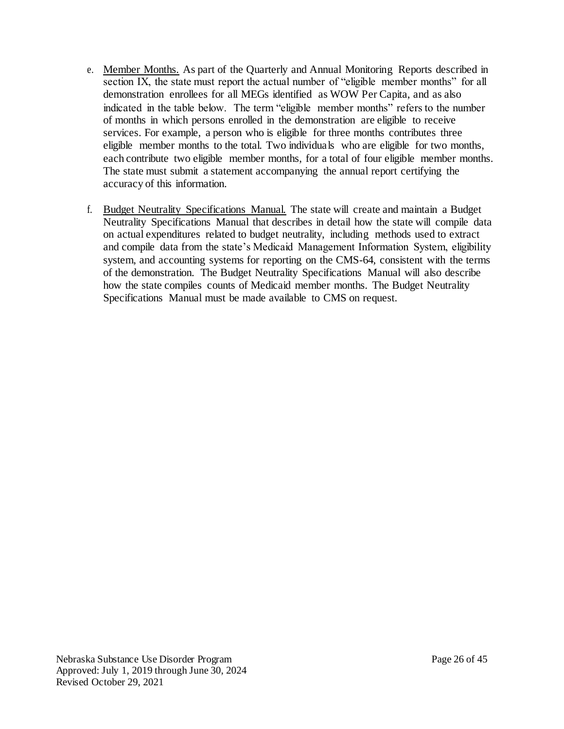- e. Member Months. As part of the Quarterly and Annual Monitoring Reports described in section IX, the state must report the actual number of "eligible member months" for all demonstration enrollees for all MEGs identified as WOW Per Capita, and as also indicated in the table below. The term "eligible member months" refers to the number of months in which persons enrolled in the demonstration are eligible to receive services. For example, a person who is eligible for three months contributes three eligible member months to the total. Two individuals who are eligible for two months, each contribute two eligible member months, for a total of four eligible member months. The state must submit a statement accompanying the annual report certifying the accuracy of this information.
- f. Budget Neutrality Specifications Manual. The state will create and maintain a Budget Neutrality Specifications Manual that describes in detail how the state will compile data on actual expenditures related to budget neutrality, including methods used to extract and compile data from the state's Medicaid Management Information System, eligibility system, and accounting systems for reporting on the CMS-64, consistent with the terms of the demonstration. The Budget Neutrality Specifications Manual will also describe how the state compiles counts of Medicaid member months. The Budget Neutrality Specifications Manual must be made available to CMS on request.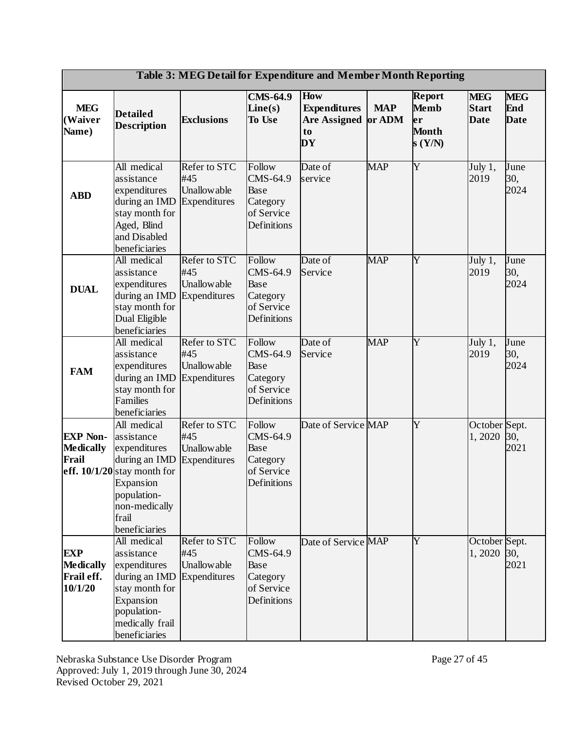| Table 3: MEG Detail for Expenditure and Member Month Reporting |                                                                                                                                                                    |                                                           |                                                                     |                                                                      |            |                                                               |                                           |                                  |
|----------------------------------------------------------------|--------------------------------------------------------------------------------------------------------------------------------------------------------------------|-----------------------------------------------------------|---------------------------------------------------------------------|----------------------------------------------------------------------|------------|---------------------------------------------------------------|-------------------------------------------|----------------------------------|
| <b>MEG</b><br>(Waiver<br>Name)                                 | <b>Detailed</b><br><b>Description</b>                                                                                                                              | <b>Exclusions</b>                                         | <b>CMS-64.9</b><br>Line(s)<br>To Use                                | <b>How</b><br><b>Expenditures</b><br>Are Assigned or ADM<br>to<br>DY | <b>MAP</b> | <b>Report</b><br><b>Memb</b><br>er<br><b>Month</b><br>s (Y/N) | <b>MEG</b><br><b>Start</b><br><b>Date</b> | <b>MEG</b><br>End<br><b>Date</b> |
| <b>ABD</b>                                                     | All medical<br>assistance<br>expenditures<br>during an IMD<br>stay month for<br>Aged, Blind<br>and Disabled<br>beneficiaries                                       | Refer to STC<br>#45<br><b>Unallowable</b><br>Expenditures | Follow<br>CMS-64.9<br>Base<br>Category<br>of Service<br>Definitions | Date of<br>service                                                   | <b>MAP</b> | Y                                                             | July 1,<br>2019                           | June<br>30,<br>2024              |
| <b>DUAL</b>                                                    | All medical<br>assistance<br>expenditures<br>during an IMD<br>stay month for<br>Dual Eligible<br>beneficiaries                                                     | Refer to STC<br>#45<br><b>Unallowable</b><br>Expenditures | Follow<br>CMS-64.9<br>Base<br>Category<br>of Service<br>Definitions | Date of<br>Service                                                   | <b>MAP</b> | Y                                                             | July 1,<br>2019                           | June<br>30,<br>2024              |
| <b>FAM</b>                                                     | All medical<br>assistance<br>expenditures<br>during an IMD<br>stay month for<br><b>Families</b><br>beneficiaries                                                   | Refer to STC<br>#45<br><b>Unallowable</b><br>Expenditures | Follow<br>CMS-64.9<br>Base<br>Category<br>of Service<br>Definitions | Date of<br>Service                                                   | <b>MAP</b> | Y                                                             | July 1,<br>2019                           | June<br>30,<br>2024              |
| <b>EXP Non-</b><br><b>Medically</b><br>Frail                   | All medical<br>assistance<br>expenditures<br>during an IMD<br>eff. $10/1/20$ stay month for<br>Expansion<br>population-<br>non-medically<br>frail<br>beneficiaries | Refer to STC<br>#45<br><b>Unallowable</b><br>Expenditures | Follow<br>CMS-64.9<br>Base<br>Category<br>of Service<br>Definitions | Date of Service MAP                                                  |            | Y                                                             | October Sept.<br>1,2020                   | 30,<br>2021                      |
| <b>EXP</b><br><b>Medically</b><br>Frail eff.<br>10/1/20        | All medical<br>assistance<br>expenditures<br>during an IMD<br>stay month for<br>Expansion<br>population-<br>medically frail<br>beneficiaries                       | Refer to STC<br>#45<br><b>Unallowable</b><br>Expenditures | Follow<br>CMS-64.9<br>Base<br>Category<br>of Service<br>Definitions | Date of Service MAP                                                  |            | Y                                                             | October Sept.<br>1,2020                   | 30,<br>2021                      |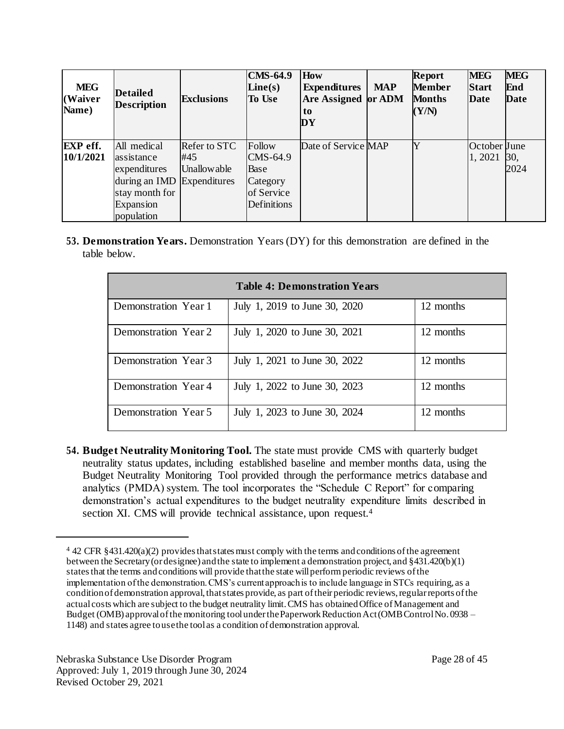| <b>MEG</b><br>(Waiver<br>Name) | <b>Detailed</b><br><b>Description</b>                                                                          | <b>Exclusions</b>                                  | <b>CMS-64.9</b><br>Line(s)<br><b>To Use</b>                         | <b>How</b><br><b>Expenditures</b><br>Are Assigned or ADM<br>to<br>DY | <b>MAP</b> | Report<br><b>Member</b><br><b>Months</b><br>(Y/N) | <b>MEG</b><br><b>Start</b><br><b>Date</b> | <b>MEG</b><br>End<br>Date |
|--------------------------------|----------------------------------------------------------------------------------------------------------------|----------------------------------------------------|---------------------------------------------------------------------|----------------------------------------------------------------------|------------|---------------------------------------------------|-------------------------------------------|---------------------------|
| <b>EXP</b> eff.<br>10/1/2021   | All medical<br>assistance<br>expenditures<br>during an IMD<br>stay month for<br><b>Expansion</b><br>population | Refer to STC<br>#45<br>Unallowable<br>Expenditures | Follow<br>CMS-64.9<br>Base<br>Category<br>of Service<br>Definitions | Date of Service MAP                                                  |            |                                                   | October June<br>1,2021                    | 30,<br>2024               |

**53. Demonstration Years.** Demonstration Years (DY) for this demonstration are defined in the table below.

| <b>Table 4: Demonstration Years</b> |                               |           |  |  |  |  |  |
|-------------------------------------|-------------------------------|-----------|--|--|--|--|--|
| Demonstration Year 1                | July 1, 2019 to June 30, 2020 | 12 months |  |  |  |  |  |
| Demonstration Year 2                | July 1, 2020 to June 30, 2021 | 12 months |  |  |  |  |  |
| Demonstration Year 3                | July 1, 2021 to June 30, 2022 | 12 months |  |  |  |  |  |
| Demonstration Year 4                | July 1, 2022 to June 30, 2023 | 12 months |  |  |  |  |  |
| Demonstration Year 5                | July 1, 2023 to June 30, 2024 | 12 months |  |  |  |  |  |

**54. Budget Neutrality Monitoring Tool.** The state must provide CMS with quarterly budget neutrality status updates, including established baseline and member months data, using the Budget Neutrality Monitoring Tool provided through the performance metrics database and analytics (PMDA) system. The tool incorporates the "Schedule C Report" for comparing demonstration's actual expenditures to the budget neutrality expenditure limits described in section XI. CMS will provide technical assistance, upon request.<sup>4</sup>

 $\overline{a}$ 

<sup>4</sup> 42 CFR §431.420(a)(2) provides that states must comply with the terms and conditions of the agreement between the Secretary (or designee) and the state to implement a demonstration project, and §431.420(b)(1) states that the terms and conditions will provide that the state will perform periodic reviews of the implementation of the demonstration. CMS's current approach is to include language in STCs requiring, as a condition of demonstration approval, that states provide, as part of their periodic reviews, regular reports of the actual costs which are subject to the budget neutrality limit.CMS has obtainedOffice ofManagement and Budget (OMB) approvalofthe monitoring tool under the Paperwork Reduction Act (OMB Control No. 0938 – 1148) and states agree to use the tool as a condition of demonstration approval.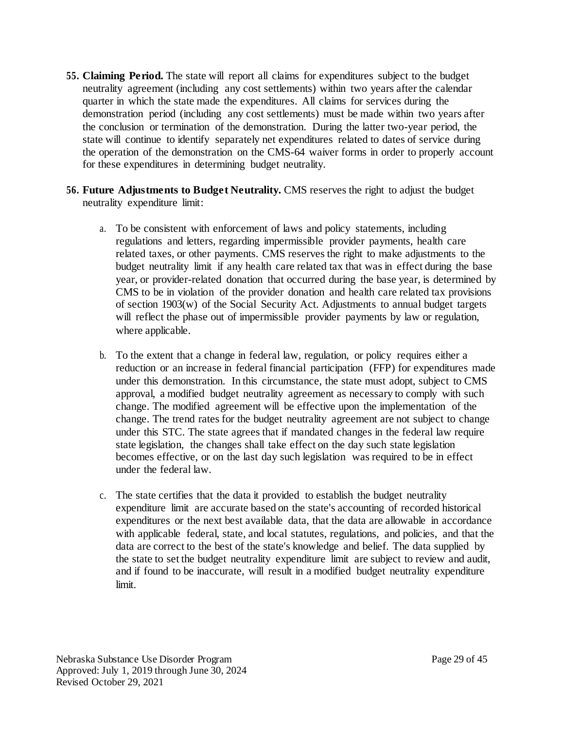- **55. Claiming Period.** The state will report all claims for expenditures subject to the budget neutrality agreement (including any cost settlements) within two years after the calendar quarter in which the state made the expenditures. All claims for services during the demonstration period (including any cost settlements) must be made within two years after the conclusion or termination of the demonstration. During the latter two-year period, the state will continue to identify separately net expenditures related to dates of service during the operation of the demonstration on the CMS-64 waiver forms in order to properly account for these expenditures in determining budget neutrality.
- **56. Future Adjustments to Budget Neutrality.** CMS reserves the right to adjust the budget neutrality expenditure limit:
	- a. To be consistent with enforcement of laws and policy statements, including regulations and letters, regarding impermissible provider payments, health care related taxes, or other payments. CMS reserves the right to make adjustments to the budget neutrality limit if any health care related tax that was in effect during the base year, or provider-related donation that occurred during the base year, is determined by CMS to be in violation of the provider donation and health care related tax provisions of section 1903(w) of the Social Security Act. Adjustments to annual budget targets will reflect the phase out of impermissible provider payments by law or regulation, where applicable.
	- b. To the extent that a change in federal law, regulation, or policy requires either a reduction or an increase in federal financial participation (FFP) for expenditures made under this demonstration. In this circumstance, the state must adopt, subject to CMS approval, a modified budget neutrality agreement as necessary to comply with such change. The modified agreement will be effective upon the implementation of the change. The trend rates for the budget neutrality agreement are not subject to change under this STC. The state agrees that if mandated changes in the federal law require state legislation, the changes shall take effect on the day such state legislation becomes effective, or on the last day such legislation was required to be in effect under the federal law.
	- c. The state certifies that the data it provided to establish the budget neutrality expenditure limit are accurate based on the state's accounting of recorded historical expenditures or the next best available data, that the data are allowable in accordance with applicable federal, state, and local statutes, regulations, and policies, and that the data are correct to the best of the state's knowledge and belief. The data supplied by the state to set the budget neutrality expenditure limit are subject to review and audit, and if found to be inaccurate, will result in a modified budget neutrality expenditure limit.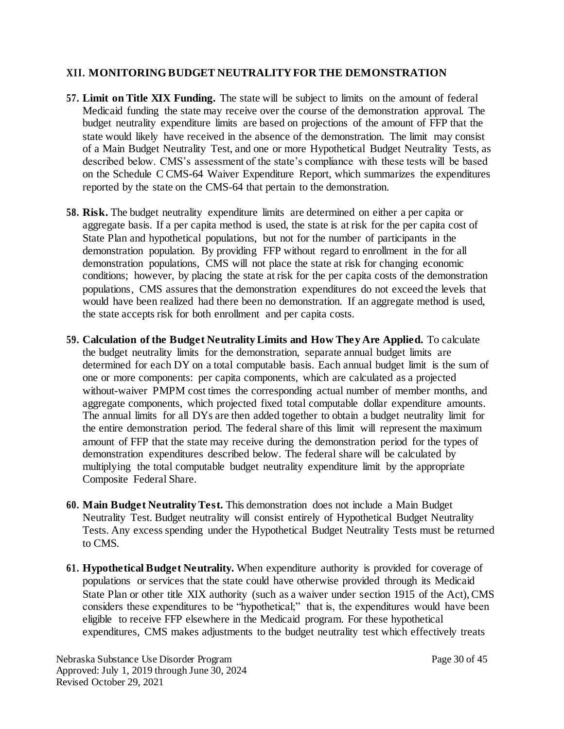## **XII. MONITORING BUDGET NEUTRALITY FOR THE DEMONSTRATION**

- **57. Limit on Title XIX Funding.** The state will be subject to limits on the amount of federal Medicaid funding the state may receive over the course of the demonstration approval. The budget neutrality expenditure limits are based on projections of the amount of FFP that the state would likely have received in the absence of the demonstration. The limit may consist of a Main Budget Neutrality Test, and one or more Hypothetical Budget Neutrality Tests, as described below. CMS's assessment of the state's compliance with these tests will be based on the Schedule C CMS-64 Waiver Expenditure Report, which summarizes the expenditures reported by the state on the CMS-64 that pertain to the demonstration.
- **58. Risk.** The budget neutrality expenditure limits are determined on either a per capita or aggregate basis. If a per capita method is used, the state is at risk for the per capita cost of State Plan and hypothetical populations, but not for the number of participants in the demonstration population. By providing FFP without regard to enrollment in the for all demonstration populations, CMS will not place the state at risk for changing economic conditions; however, by placing the state at risk for the per capita costs of the demonstration populations, CMS assures that the demonstration expenditures do not exceed the levels that would have been realized had there been no demonstration. If an aggregate method is used, the state accepts risk for both enrollment and per capita costs.
- **59. Calculation of the Budget Neutrality Limits and How They Are Applied.** To calculate the budget neutrality limits for the demonstration, separate annual budget limits are determined for each DY on a total computable basis. Each annual budget limit is the sum of one or more components: per capita components, which are calculated as a projected without-waiver PMPM cost times the corresponding actual number of member months, and aggregate components, which projected fixed total computable dollar expenditure amounts. The annual limits for all DYs are then added together to obtain a budget neutrality limit for the entire demonstration period. The federal share of this limit will represent the maximum amount of FFP that the state may receive during the demonstration period for the types of demonstration expenditures described below. The federal share will be calculated by multiplying the total computable budget neutrality expenditure limit by the appropriate Composite Federal Share.
- **60. Main Budget Neutrality Test.** This demonstration does not include a Main Budget Neutrality Test. Budget neutrality will consist entirely of Hypothetical Budget Neutrality Tests. Any excess spending under the Hypothetical Budget Neutrality Tests must be returned to CMS.
- **61. Hypothetical Budget Neutrality.** When expenditure authority is provided for coverage of populations or services that the state could have otherwise provided through its Medicaid State Plan or other title XIX authority (such as a waiver under section 1915 of the Act), CMS considers these expenditures to be "hypothetical;" that is, the expenditures would have been eligible to receive FFP elsewhere in the Medicaid program. For these hypothetical expenditures, CMS makes adjustments to the budget neutrality test which effectively treats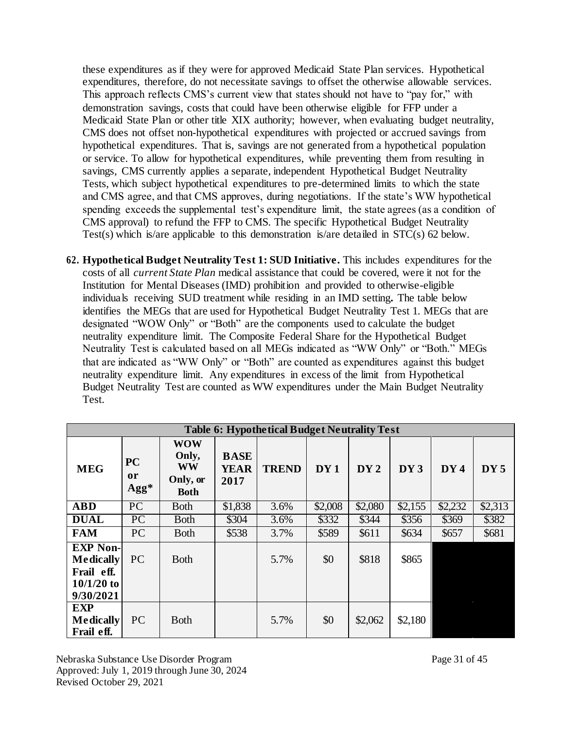these expenditures as if they were for approved Medicaid State Plan services. Hypothetical expenditures, therefore, do not necessitate savings to offset the otherwise allowable services. This approach reflects CMS's current view that states should not have to "pay for," with demonstration savings, costs that could have been otherwise eligible for FFP under a Medicaid State Plan or other title XIX authority; however, when evaluating budget neutrality, CMS does not offset non-hypothetical expenditures with projected or accrued savings from hypothetical expenditures. That is, savings are not generated from a hypothetical population or service. To allow for hypothetical expenditures, while preventing them from resulting in savings, CMS currently applies a separate, independent Hypothetical Budget Neutrality Tests, which subject hypothetical expenditures to pre-determined limits to which the state and CMS agree, and that CMS approves, during negotiations. If the state's WW hypothetical spending exceeds the supplemental test's expenditure limit, the state agrees (as a condition of CMS approval) to refund the FFP to CMS. The specific Hypothetical Budget Neutrality Test(s) which is/are applicable to this demonstration is/are detailed in STC(s) 62 below.

**62. Hypothetical Budget Neutrality Test 1: SUD Initiative.** This includes expenditures for the costs of all *current State Plan* medical assistance that could be covered, were it not for the Institution for Mental Diseases (IMD) prohibition and provided to otherwise-eligible individuals receiving SUD treatment while residing in an IMD setting*.* The table below identifies the MEGs that are used for Hypothetical Budget Neutrality Test 1. MEGs that are designated "WOW Only" or "Both" are the components used to calculate the budget neutrality expenditure limit. The Composite Federal Share for the Hypothetical Budget Neutrality Test is calculated based on all MEGs indicated as "WW Only" or "Both." MEGs that are indicated as "WW Only" or "Both" are counted as expenditures against this budget neutrality expenditure limit. Any expenditures in excess of the limit from Hypothetical Budget Neutrality Test are counted as WW expenditures under the Main Budget Neutrality Test.

|                                                                                | <b>Table 6: Hypothetical Budget Neutrality Test</b> |                                                      |                                    |              |         |         |         |         |         |  |
|--------------------------------------------------------------------------------|-----------------------------------------------------|------------------------------------------------------|------------------------------------|--------------|---------|---------|---------|---------|---------|--|
| <b>MEG</b>                                                                     | <b>PC</b><br><sub>or</sub><br>$\rm{Agg*}$           | <b>WOW</b><br>Only,<br>WW<br>Only, or<br><b>Both</b> | <b>BASE</b><br><b>YEAR</b><br>2017 | <b>TREND</b> | DY1     | DY2     | DY3     | DY4     | DY5     |  |
| <b>ABD</b>                                                                     | $\overline{PC}$                                     | <b>B</b> oth                                         | \$1,838                            | 3.6%         | \$2,008 | \$2,080 | \$2,155 | \$2,232 | \$2,313 |  |
| <b>DUAL</b>                                                                    | $\overline{PC}$                                     | <b>B</b> oth                                         | \$304                              | 3.6%         | \$332   | \$344   | \$356   | \$369   | \$382   |  |
| <b>FAM</b>                                                                     | PC                                                  | <b>B</b> oth                                         | \$538                              | 3.7%         | \$589   | \$611   | \$634   | \$657   | \$681   |  |
| <b>EXP Non-</b><br><b>Medically</b><br>Frail eff.<br>$10/1/20$ to<br>9/30/2021 | PC                                                  | <b>B</b> oth                                         |                                    | 5.7%         | \$0     | \$818   | \$865   |         |         |  |
| <b>EXP</b><br><b>Medically</b><br>Frail eff.                                   | PC                                                  | <b>B</b> oth                                         |                                    | 5.7%         | \$0     | \$2,062 | \$2,180 |         |         |  |

Nebraska Substance Use Disorder Program Page 31 of 45 Approved: July 1, 2019 through June 30, 2024 Revised October 29, 2021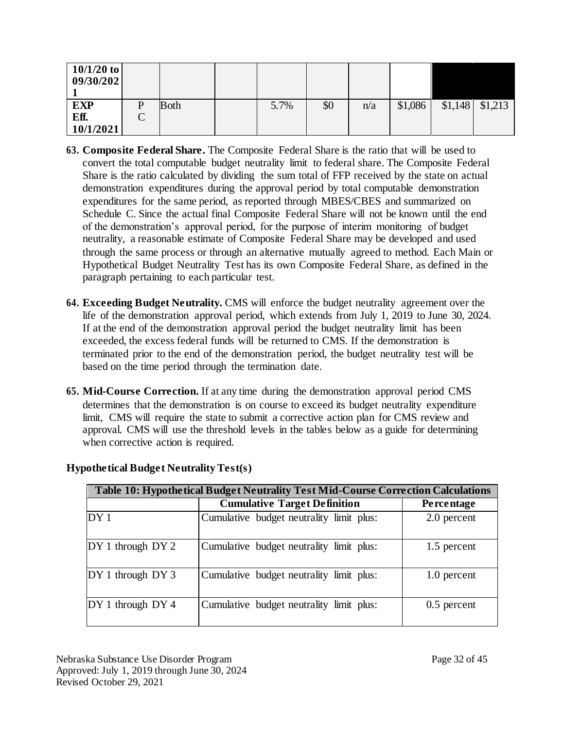| $10/1/20$ to<br>09/30/202 |                |              |      |     |     |         |         |         |
|---------------------------|----------------|--------------|------|-----|-----|---------|---------|---------|
| <b>EXP</b>                | D              | <b>B</b> oth | 5.7% | \$0 | n/a | \$1,086 | \$1,148 | \$1,213 |
| Eff.                      | $\sqrt{}$<br>◡ |              |      |     |     |         |         |         |
| 10/1/2021                 |                |              |      |     |     |         |         |         |

- **63. Composite Federal Share.** The Composite Federal Share is the ratio that will be used to convert the total computable budget neutrality limit to federal share. The Composite Federal Share is the ratio calculated by dividing the sum total of FFP received by the state on actual demonstration expenditures during the approval period by total computable demonstration expenditures for the same period, as reported through MBES/CBES and summarized on Schedule C. Since the actual final Composite Federal Share will not be known until the end of the demonstration's approval period, for the purpose of interim monitoring of budget neutrality, a reasonable estimate of Composite Federal Share may be developed and used through the same process or through an alternative mutually agreed to method. Each Main or Hypothetical Budget Neutrality Test has its own Composite Federal Share, as defined in the paragraph pertaining to each particular test.
- **64. Exceeding Budget Neutrality.** CMS will enforce the budget neutrality agreement over the life of the demonstration approval period, which extends from July 1, 2019 to June 30, 2024. If at the end of the demonstration approval period the budget neutrality limit has been exceeded, the excess federal funds will be returned to CMS. If the demonstration is terminated prior to the end of the demonstration period, the budget neutrality test will be based on the time period through the termination date.
- **65. Mid-Course Correction.** If at any time during the demonstration approval period CMS determines that the demonstration is on course to exceed its budget neutrality expenditure limit, CMS will require the state to submit a corrective action plan for CMS review and approval. CMS will use the threshold levels in the tables below as a guide for determining when corrective action is required.

| Table 10: Hypothetical Budget Neutrality Test Mid-Course Correction Calculations |                                          |               |  |  |  |  |  |
|----------------------------------------------------------------------------------|------------------------------------------|---------------|--|--|--|--|--|
|                                                                                  | <b>Cumulative Target Definition</b>      | Percentage    |  |  |  |  |  |
| DY1                                                                              | Cumulative budget neutrality limit plus: | 2.0 percent   |  |  |  |  |  |
| $DY1$ through $DY2$                                                              | Cumulative budget neutrality limit plus: | 1.5 percent   |  |  |  |  |  |
| $DY 1$ through $DY 3$                                                            | Cumulative budget neutrality limit plus: | 1.0 percent   |  |  |  |  |  |
| $DY 1$ through $DY 4$                                                            | Cumulative budget neutrality limit plus: | $0.5$ percent |  |  |  |  |  |

## **Hypothetical Budget Neutrality Test(s)**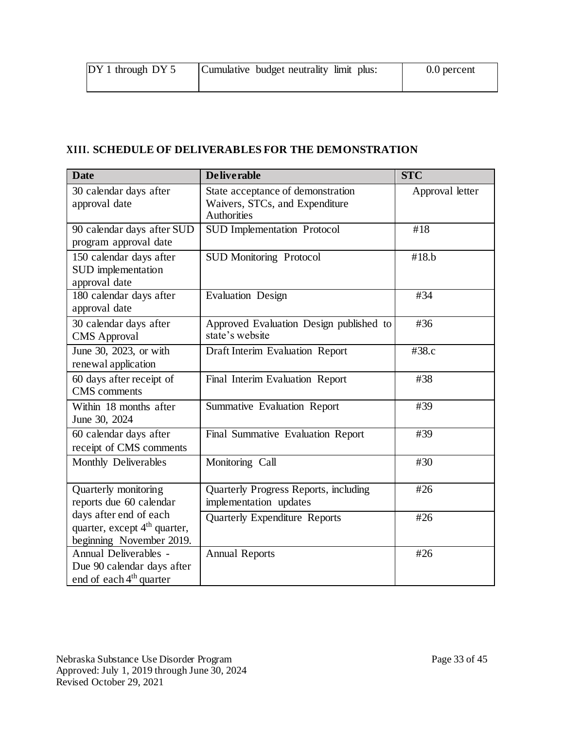| $DY1$ through $DY5$ | Cumulative budget neutrality limit plus: | 0.0 percent |
|---------------------|------------------------------------------|-------------|
|                     |                                          |             |

## **XIII. SCHEDULE OF DELIVERABLES FOR THE DEMONSTRATION**

| <b>Date</b>                                                                                    | <b>Deliverable</b>                                                                 | $\overline{\text{STC}}$ |
|------------------------------------------------------------------------------------------------|------------------------------------------------------------------------------------|-------------------------|
| 30 calendar days after<br>approval date                                                        | State acceptance of demonstration<br>Waivers, STCs, and Expenditure<br>Authorities | Approval letter         |
| 90 calendar days after SUD<br>program approval date                                            | <b>SUD</b> Implementation Protocol                                                 | #18                     |
| 150 calendar days after<br>SUD implementation<br>approval date                                 | <b>SUD Monitoring Protocol</b>                                                     | #18.b                   |
| 180 calendar days after<br>approval date                                                       | <b>Evaluation Design</b>                                                           | #34                     |
| 30 calendar days after<br><b>CMS</b> Approval                                                  | Approved Evaluation Design published to<br>state's website                         | #36                     |
| June 30, 2023, or with<br>renewal application                                                  | Draft Interim Evaluation Report                                                    | #38.c                   |
| 60 days after receipt of<br><b>CMS</b> comments                                                | Final Interim Evaluation Report                                                    | #38                     |
| Within 18 months after<br>June 30, 2024                                                        | Summative Evaluation Report                                                        | #39                     |
| 60 calendar days after<br>receipt of CMS comments                                              | Final Summative Evaluation Report                                                  | #39                     |
| Monthly Deliverables                                                                           | Monitoring Call                                                                    | #30                     |
| Quarterly monitoring<br>reports due 60 calendar                                                | Quarterly Progress Reports, including<br>implementation updates                    | #26                     |
| days after end of each<br>quarter, except 4 <sup>th</sup> quarter,<br>beginning November 2019. | <b>Quarterly Expenditure Reports</b>                                               | #26                     |
| Annual Deliverables -<br>Due 90 calendar days after<br>end of each 4 <sup>th</sup> quarter     | <b>Annual Reports</b>                                                              | #26                     |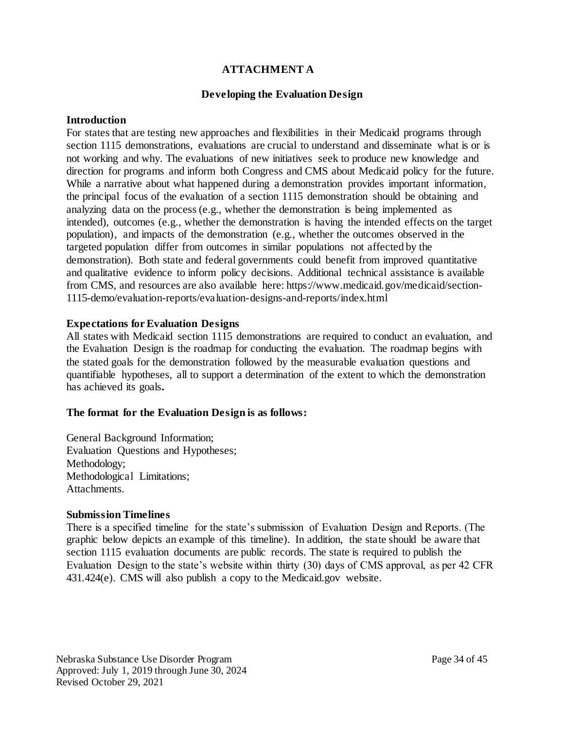### **ATTACHMENT A**

### **Developing the Evaluation Design**

#### **Introduction**

For states that are testing new approaches and flexibilities in their Medicaid programs through section 1115 demonstrations, evaluations are crucial to understand and disseminate what is or is not working and why. The evaluations of new initiatives seek to produce new knowledge and direction for programs and inform both Congress and CMS about Medicaid policy for the future. While a narrative about what happened during a demonstration provides important information, the principal focus of the evaluation of a section 1115 demonstration should be obtaining and analyzing data on the process (e.g., whether the demonstration is being implemented as intended), outcomes (e.g., whether the demonstration is having the intended effects on the target population), and impacts of the demonstration (e.g., whether the outcomes observed in the targeted population differ from outcomes in similar populations not affected by the demonstration). Both state and federal governments could benefit from improved quantitative and qualitative evidence to inform policy decisions. Additional technical assistance is available from CMS, and resources are also available here: http[s://ww](http://www.medicaid.gov/medicaid/section-)w[.medicaid.gov/medicaid/section-](http://www.medicaid.gov/medicaid/section-)1115-demo/evaluation-reports/evaluation-designs-and-reports/index.html

#### **Expectations for Evaluation Designs**

All states with Medicaid section 1115 demonstrations are required to conduct an evaluation, and the Evaluation Design is the roadmap for conducting the evaluation. The roadmap begins with the stated goals for the demonstration followed by the measurable evaluation questions and quantifiable hypotheses, all to support a determination of the extent to which the demonstration has achieved its goals**.**

#### **The format for the Evaluation Design is as follows:**

General Background Information; Evaluation Questions and Hypotheses; Methodology; Methodological Limitations; Attachments.

#### **Submission Timelines**

There is a specified timeline for the state's submission of Evaluation Design and Reports. (The graphic below depicts an example of this timeline). In addition, the state should be aware that section 1115 evaluation documents are public records. The state is required to publish the Evaluation Design to the state's website within thirty (30) days of CMS approval, as per 42 CFR 431.424(e). CMS will also publish a copy to the Medicaid.gov website.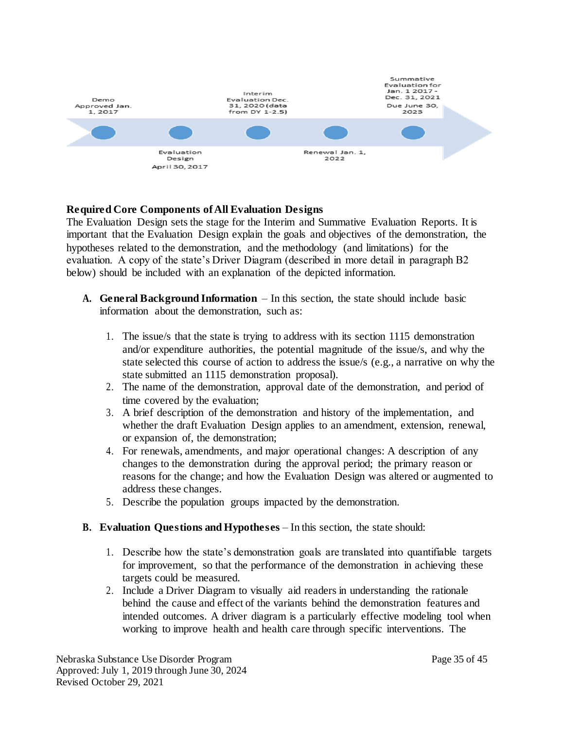

### **Required Core Components of All Evaluation Designs**

The Evaluation Design sets the stage for the Interim and Summative Evaluation Reports. It is important that the Evaluation Design explain the goals and objectives of the demonstration, the hypotheses related to the demonstration, and the methodology (and limitations) for the evaluation. A copy of the state's Driver Diagram (described in more detail in paragraph B2 below) should be included with an explanation of the depicted information.

- **A. General Background Information**  In this section, the state should include basic information about the demonstration, such as:
	- 1. The issue/s that the state is trying to address with its section 1115 demonstration and/or expenditure authorities, the potential magnitude of the issue/s, and why the state selected this course of action to address the issue/s (e.g., a narrative on why the state submitted an 1115 demonstration proposal).
	- 2. The name of the demonstration, approval date of the demonstration, and period of time covered by the evaluation;
	- 3. A brief description of the demonstration and history of the implementation, and whether the draft Evaluation Design applies to an amendment, extension, renewal, or expansion of, the demonstration;
	- 4. For renewals, amendments, and major operational changes: A description of any changes to the demonstration during the approval period; the primary reason or reasons for the change; and how the Evaluation Design was altered or augmented to address these changes.
	- 5. Describe the population groups impacted by the demonstration.

#### **B. Evaluation Questions and Hypotheses** – In this section, the state should:

- 1. Describe how the state's demonstration goals are translated into quantifiable targets for improvement, so that the performance of the demonstration in achieving these targets could be measured.
- 2. Include a Driver Diagram to visually aid readers in understanding the rationale behind the cause and effect of the variants behind the demonstration features and intended outcomes. A driver diagram is a particularly effective modeling tool when working to improve health and health care through specific interventions. The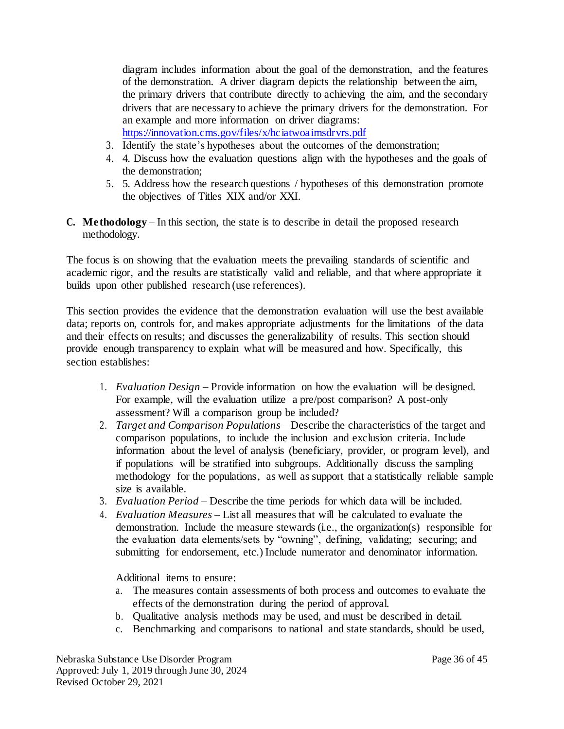diagram includes information about the goal of the demonstration, and the features of the demonstration. A driver diagram depicts the relationship between the aim, the primary drivers that contribute directly to achieving the aim, and the secondary drivers that are necessary to achieve the primary drivers for the demonstration. For an example and more information on driver diagrams: <https://innovation.cms.gov/files/x/hciatwoaimsdrvrs.pdf>

- 3. Identify the state's hypotheses about the outcomes of the demonstration;
- 4. 4. Discuss how the evaluation questions align with the hypotheses and the goals of the demonstration;
- 5. 5. Address how the research questions / hypotheses of this demonstration promote the objectives of Titles XIX and/or XXI.
- **C. Methodology**  In this section, the state is to describe in detail the proposed research methodology.

The focus is on showing that the evaluation meets the prevailing standards of scientific and academic rigor, and the results are statistically valid and reliable, and that where appropriate it builds upon other published research (use references).

This section provides the evidence that the demonstration evaluation will use the best available data; reports on, controls for, and makes appropriate adjustments for the limitations of the data and their effects on results; and discusses the generalizability of results. This section should provide enough transparency to explain what will be measured and how. Specifically, this section establishes:

- 1. *Evaluation Design –* Provide information on how the evaluation will be designed. For example, will the evaluation utilize a pre/post comparison? A post-only assessment? Will a comparison group be included?
- 2. *Target and Comparison Populations*  Describe the characteristics of the target and comparison populations, to include the inclusion and exclusion criteria. Include information about the level of analysis (beneficiary, provider, or program level), and if populations will be stratified into subgroups. Additionally discuss the sampling methodology for the populations, as well as support that a statistically reliable sample size is available.
- 3. *Evaluation Period –* Describe the time periods for which data will be included.
- 4. *Evaluation Measures –* List all measures that will be calculated to evaluate the demonstration. Include the measure stewards (i.e., the organization(s) responsible for the evaluation data elements/sets by "owning", defining, validating; securing; and submitting for endorsement, etc.) Include numerator and denominator information.

Additional items to ensure:

- a. The measures contain assessments of both process and outcomes to evaluate the effects of the demonstration during the period of approval.
- b. Qualitative analysis methods may be used, and must be described in detail.
- c. Benchmarking and comparisons to national and state standards, should be used,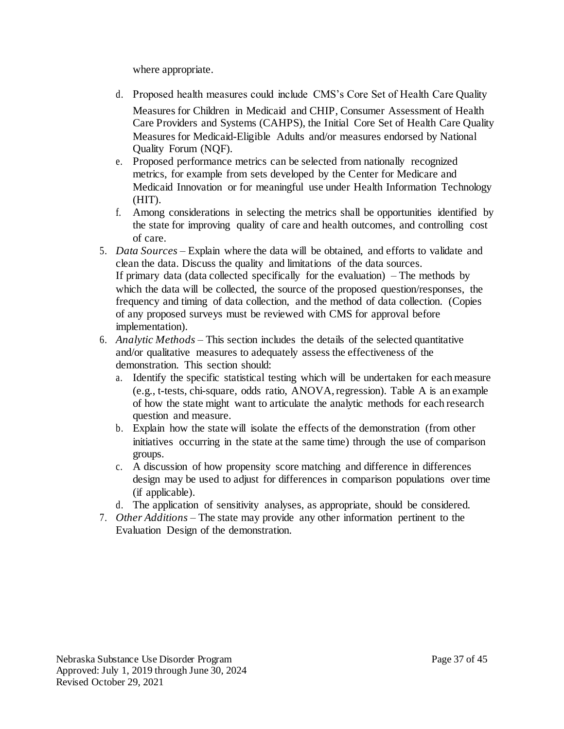where appropriate.

- d. Proposed health measures could include CMS's Core Set of Health Care Quality Measures for Children in Medicaid and CHIP, Consumer Assessment of Health Care Providers and Systems (CAHPS), the Initial Core Set of Health Care Quality Measures for Medicaid-Eligible Adults and/or measures endorsed by National Quality Forum (NQF).
- e. Proposed performance metrics can be selected from nationally recognized metrics, for example from sets developed by the Center for Medicare and Medicaid Innovation or for meaningful use under Health Information Technology (HIT).
- f. Among considerations in selecting the metrics shall be opportunities identified by the state for improving quality of care and health outcomes, and controlling cost of care.
- 5. *Data Sources –* Explain where the data will be obtained, and efforts to validate and clean the data. Discuss the quality and limitations of the data sources. If primary data (data collected specifically for the evaluation) – The methods by which the data will be collected, the source of the proposed question/responses, the frequency and timing of data collection, and the method of data collection. (Copies of any proposed surveys must be reviewed with CMS for approval before implementation).
- 6. *Analytic Methods –* This section includes the details of the selected quantitative and/or qualitative measures to adequately assess the effectiveness of the demonstration. This section should:
	- a. Identify the specific statistical testing which will be undertaken for each measure (e.g., t-tests, chi-square, odds ratio, ANOVA, regression). Table A is an example of how the state might want to articulate the analytic methods for each research question and measure.
	- b. Explain how the state will isolate the effects of the demonstration (from other initiatives occurring in the state at the same time) through the use of comparison groups.
	- c. A discussion of how propensity score matching and difference in differences design may be used to adjust for differences in comparison populations over time (if applicable).
	- d. The application of sensitivity analyses, as appropriate, should be considered.
- 7. *Other Additions –* The state may provide any other information pertinent to the Evaluation Design of the demonstration.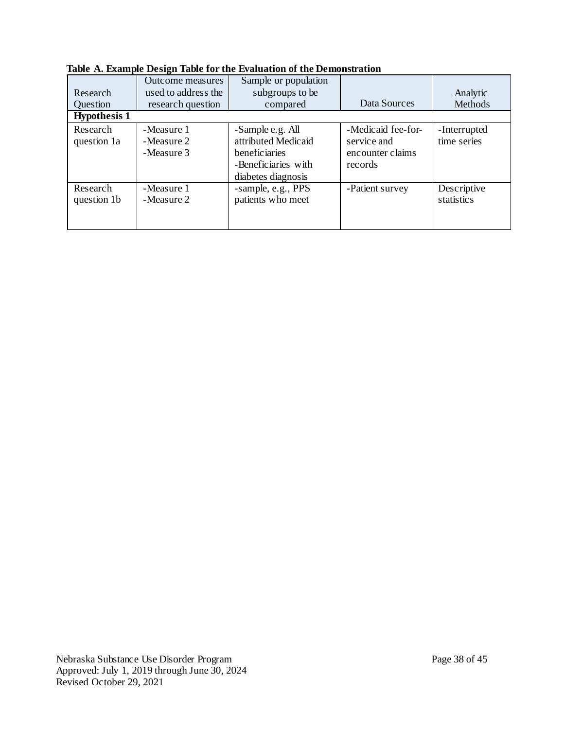| Research<br><b>Ouestion</b>                    | Outcome measures<br>used to address the<br>research question | Sample or population<br>subgroups to be<br>compared                                                   | Data Sources                                                     | Analytic<br>Methods              |
|------------------------------------------------|--------------------------------------------------------------|-------------------------------------------------------------------------------------------------------|------------------------------------------------------------------|----------------------------------|
| <b>Hypothesis 1</b><br>Research<br>question 1a | -Measure 1<br>-Measure 2<br>-Measure 3                       | -Sample e.g. All<br>attributed Medicaid<br>beneficiaries<br>-Beneficiaries with<br>diabetes diagnosis | -Medicaid fee-for-<br>service and<br>encounter claims<br>records | -Interrupted<br>time series      |
| Research<br>question 1b                        | -Measure 1<br>-Measure 2                                     | -sample, e.g., PPS<br>patients who meet                                                               | -Patient survey                                                  | Descriptive<br><i>statistics</i> |

**Table A. Example Design Table for the Evaluation of the Demonstration**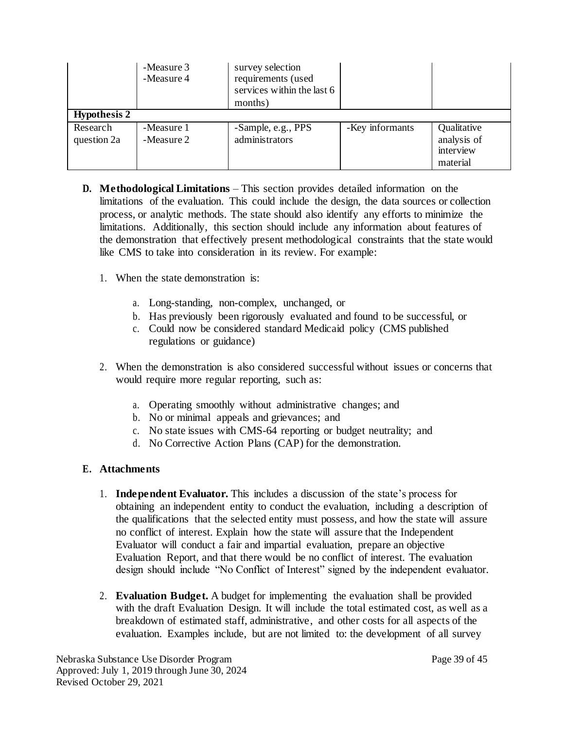|                         | -Measure 3<br>-Measure 4 | survey selection<br>requirements (used<br>services within the last 6<br>months) |                 |                                                     |
|-------------------------|--------------------------|---------------------------------------------------------------------------------|-----------------|-----------------------------------------------------|
| <b>Hypothesis 2</b>     |                          |                                                                                 |                 |                                                     |
| Research<br>question 2a | -Measure 1<br>-Measure 2 | -Sample, e.g., PPS<br>administrators                                            | -Key informants | Qualitative<br>analysis of<br>interview<br>material |

- **D. Methodological Limitations**  This section provides detailed information on the limitations of the evaluation. This could include the design, the data sources or collection process, or analytic methods. The state should also identify any efforts to minimize the limitations. Additionally, this section should include any information about features of the demonstration that effectively present methodological constraints that the state would like CMS to take into consideration in its review. For example:
	- 1. When the state demonstration is:
		- a. Long-standing, non-complex, unchanged, or
		- b. Has previously been rigorously evaluated and found to be successful, or
		- c. Could now be considered standard Medicaid policy (CMS published regulations or guidance)
	- 2. When the demonstration is also considered successful without issues or concerns that would require more regular reporting, such as:
		- a. Operating smoothly without administrative changes; and
		- b. No or minimal appeals and grievances; and
		- c. No state issues with CMS-64 reporting or budget neutrality; and
		- d. No Corrective Action Plans (CAP) for the demonstration.

## **E. Attachments**

- 1. **Independent Evaluator.** This includes a discussion of the state's process for obtaining an independent entity to conduct the evaluation, including a description of the qualifications that the selected entity must possess, and how the state will assure no conflict of interest. Explain how the state will assure that the Independent Evaluator will conduct a fair and impartial evaluation, prepare an objective Evaluation Report, and that there would be no conflict of interest. The evaluation design should include "No Conflict of Interest" signed by the independent evaluator.
- 2. **Evaluation Budget.** A budget for implementing the evaluation shall be provided with the draft Evaluation Design. It will include the total estimated cost, as well as a breakdown of estimated staff, administrative, and other costs for all aspects of the evaluation. Examples include, but are not limited to: the development of all survey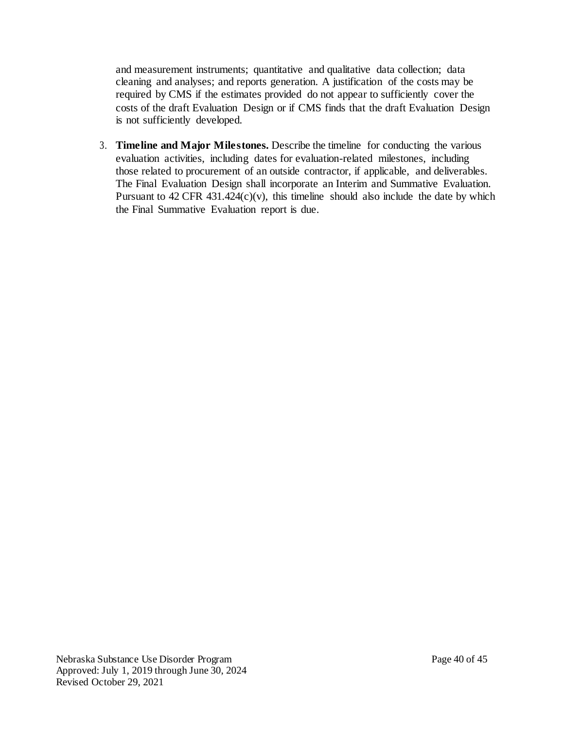and measurement instruments; quantitative and qualitative data collection; data cleaning and analyses; and reports generation. A justification of the costs may be required by CMS if the estimates provided do not appear to sufficiently cover the costs of the draft Evaluation Design or if CMS finds that the draft Evaluation Design is not sufficiently developed.

3. **Timeline and Major Milestones.** Describe the timeline for conducting the various evaluation activities, including dates for evaluation-related milestones, including those related to procurement of an outside contractor, if applicable, and deliverables. The Final Evaluation Design shall incorporate an Interim and Summative Evaluation. Pursuant to  $42 \text{ CFR } 431.424(c)(v)$ , this timeline should also include the date by which the Final Summative Evaluation report is due.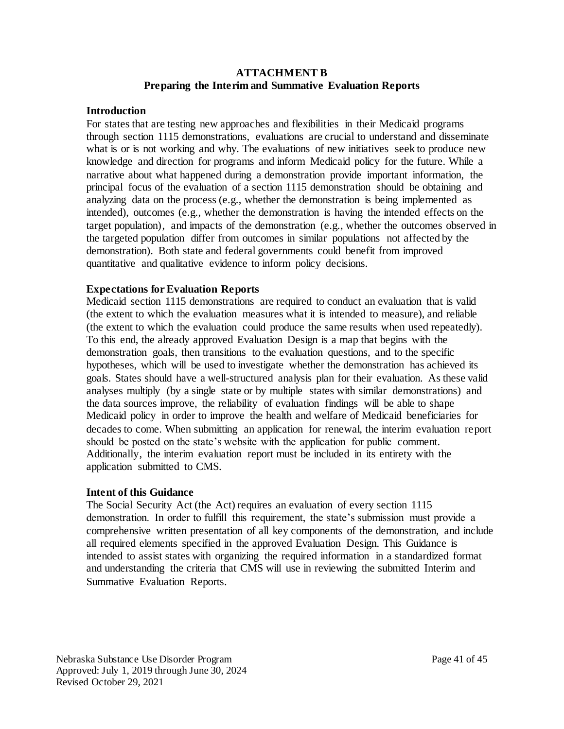#### **ATTACHMENT B Preparing the Interim and Summative Evaluation Reports**

#### **Introduction**

For states that are testing new approaches and flexibilities in their Medicaid programs through section 1115 demonstrations, evaluations are crucial to understand and disseminate what is or is not working and why. The evaluations of new initiatives seek to produce new knowledge and direction for programs and inform Medicaid policy for the future. While a narrative about what happened during a demonstration provide important information, the principal focus of the evaluation of a section 1115 demonstration should be obtaining and analyzing data on the process (e.g., whether the demonstration is being implemented as intended), outcomes (e.g., whether the demonstration is having the intended effects on the target population), and impacts of the demonstration (e.g., whether the outcomes observed in the targeted population differ from outcomes in similar populations not affected by the demonstration). Both state and federal governments could benefit from improved quantitative and qualitative evidence to inform policy decisions.

### **Expectations for Evaluation Reports**

Medicaid section 1115 demonstrations are required to conduct an evaluation that is valid (the extent to which the evaluation measures what it is intended to measure), and reliable (the extent to which the evaluation could produce the same results when used repeatedly). To this end, the already approved Evaluation Design is a map that begins with the demonstration goals, then transitions to the evaluation questions, and to the specific hypotheses, which will be used to investigate whether the demonstration has achieved its goals. States should have a well-structured analysis plan for their evaluation. As these valid analyses multiply (by a single state or by multiple states with similar demonstrations) and the data sources improve, the reliability of evaluation findings will be able to shape Medicaid policy in order to improve the health and welfare of Medicaid beneficiaries for decades to come. When submitting an application for renewal, the interim evaluation report should be posted on the state's website with the application for public comment. Additionally, the interim evaluation report must be included in its entirety with the application submitted to CMS.

#### **Intent of this Guidance**

The Social Security Act (the Act) requires an evaluation of every section 1115 demonstration. In order to fulfill this requirement, the state's submission must provide a comprehensive written presentation of all key components of the demonstration, and include all required elements specified in the approved Evaluation Design. This Guidance is intended to assist states with organizing the required information in a standardized format and understanding the criteria that CMS will use in reviewing the submitted Interim and Summative Evaluation Reports.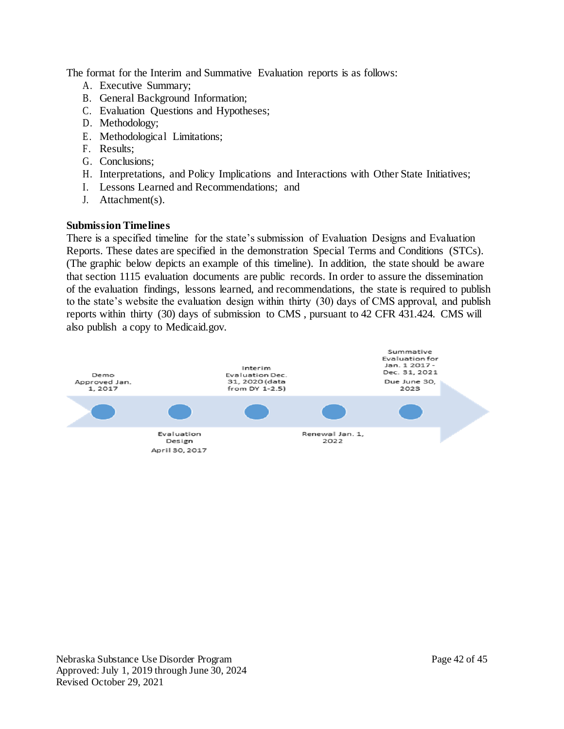The format for the Interim and Summative Evaluation reports is as follows:

- A. Executive Summary;
- B. General Background Information;
- C. Evaluation Questions and Hypotheses;
- D. Methodology;
- E. Methodological Limitations;
- F. Results;
- G. Conclusions;
- H. Interpretations, and Policy Implications and Interactions with Other State Initiatives;
- I. Lessons Learned and Recommendations; and
- J. Attachment(s).

## **Submission Timelines**

There is a specified timeline for the state's submission of Evaluation Designs and Evaluation Reports. These dates are specified in the demonstration Special Terms and Conditions (STCs). (The graphic below depicts an example of this timeline). In addition, the state should be aware that section 1115 evaluation documents are public records. In order to assure the dissemination of the evaluation findings, lessons learned, and recommendations, the state is required to publish to the state's website the evaluation design within thirty (30) days of CMS approval, and publish reports within thirty (30) days of submission to CMS , pursuant to 42 CFR 431.424. CMS will also publish a copy to Medicaid.gov.

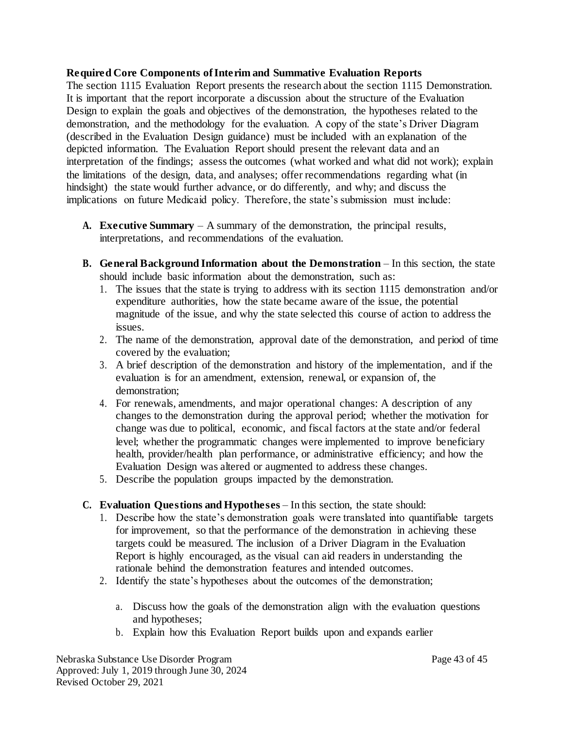### **Required Core Components of Interim and Summative Evaluation Reports**

The section 1115 Evaluation Report presents the research about the section 1115 Demonstration. It is important that the report incorporate a discussion about the structure of the Evaluation Design to explain the goals and objectives of the demonstration, the hypotheses related to the demonstration, and the methodology for the evaluation. A copy of the state's Driver Diagram (described in the Evaluation Design guidance) must be included with an explanation of the depicted information. The Evaluation Report should present the relevant data and an interpretation of the findings; assess the outcomes (what worked and what did not work); explain the limitations of the design, data, and analyses; offer recommendations regarding what (in hindsight) the state would further advance, or do differently, and why; and discuss the implications on future Medicaid policy. Therefore, the state's submission must include:

- **A. Executive Summary**  A summary of the demonstration, the principal results, interpretations, and recommendations of the evaluation.
- **B. General Background Information about the Demonstration** In this section, the state should include basic information about the demonstration, such as:
	- 1. The issues that the state is trying to address with its section 1115 demonstration and/or expenditure authorities, how the state became aware of the issue, the potential magnitude of the issue, and why the state selected this course of action to address the issues.
	- 2. The name of the demonstration, approval date of the demonstration, and period of time covered by the evaluation;
	- 3. A brief description of the demonstration and history of the implementation, and if the evaluation is for an amendment, extension, renewal, or expansion of, the demonstration;
	- 4. For renewals, amendments, and major operational changes: A description of any changes to the demonstration during the approval period; whether the motivation for change was due to political, economic, and fiscal factors at the state and/or federal level; whether the programmatic changes were implemented to improve beneficiary health, provider/health plan performance, or administrative efficiency; and how the Evaluation Design was altered or augmented to address these changes.
	- 5. Describe the population groups impacted by the demonstration.
- **C. Evaluation Questions and Hypotheses**  In this section, the state should:
	- 1. Describe how the state's demonstration goals were translated into quantifiable targets for improvement, so that the performance of the demonstration in achieving these targets could be measured. The inclusion of a Driver Diagram in the Evaluation Report is highly encouraged, as the visual can aid readers in understanding the rationale behind the demonstration features and intended outcomes.
	- 2. Identify the state's hypotheses about the outcomes of the demonstration;
		- a. Discuss how the goals of the demonstration align with the evaluation questions and hypotheses;
		- b. Explain how this Evaluation Report builds upon and expands earlier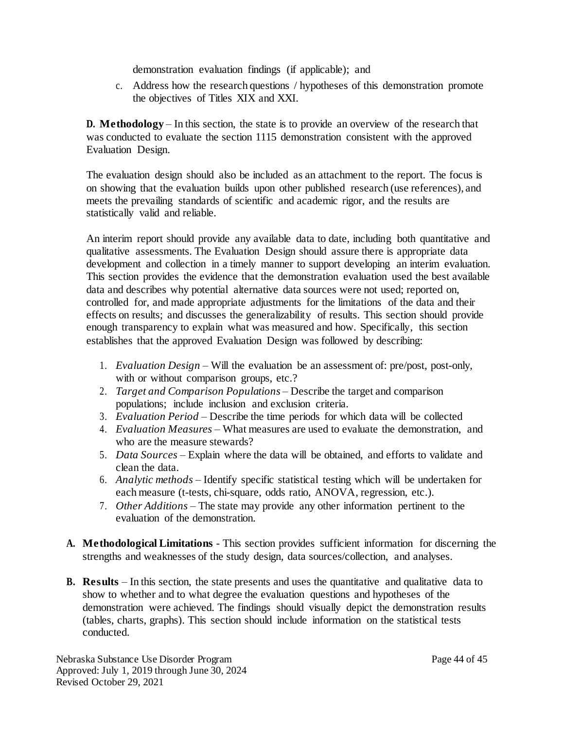demonstration evaluation findings (if applicable); and

c. Address how the research questions / hypotheses of this demonstration promote the objectives of Titles XIX and XXI.

**D. Methodology** – In this section, the state is to provide an overview of the research that was conducted to evaluate the section 1115 demonstration consistent with the approved Evaluation Design.

The evaluation design should also be included as an attachment to the report. The focus is on showing that the evaluation builds upon other published research (use references), and meets the prevailing standards of scientific and academic rigor, and the results are statistically valid and reliable.

An interim report should provide any available data to date, including both quantitative and qualitative assessments. The Evaluation Design should assure there is appropriate data development and collection in a timely manner to support developing an interim evaluation. This section provides the evidence that the demonstration evaluation used the best available data and describes why potential alternative data sources were not used; reported on, controlled for, and made appropriate adjustments for the limitations of the data and their effects on results; and discusses the generalizability of results. This section should provide enough transparency to explain what was measured and how. Specifically, this section establishes that the approved Evaluation Design was followed by describing:

- 1. *Evaluation Design*  Will the evaluation be an assessment of: pre/post, post-only, with or without comparison groups, etc.?
- 2. *Target and Comparison Populations*  Describe the target and comparison populations; include inclusion and exclusion criteria.
- 3. *Evaluation Period*  Describe the time periods for which data will be collected
- 4. *Evaluation Measures*  What measures are used to evaluate the demonstration, and who are the measure stewards?
- 5. *Data Sources*  Explain where the data will be obtained, and efforts to validate and clean the data.
- 6. *Analytic methods*  Identify specific statistical testing which will be undertaken for each measure (t-tests, chi-square, odds ratio, ANOVA, regression, etc.).
- 7. *Other Additions*  The state may provide any other information pertinent to the evaluation of the demonstration.
- **A. Methodological Limitations**  This section provides sufficient information for discerning the strengths and weaknesses of the study design, data sources/collection, and analyses.
- **B.** Results In this section, the state presents and uses the quantitative and qualitative data to show to whether and to what degree the evaluation questions and hypotheses of the demonstration were achieved. The findings should visually depict the demonstration results (tables, charts, graphs). This section should include information on the statistical tests conducted.